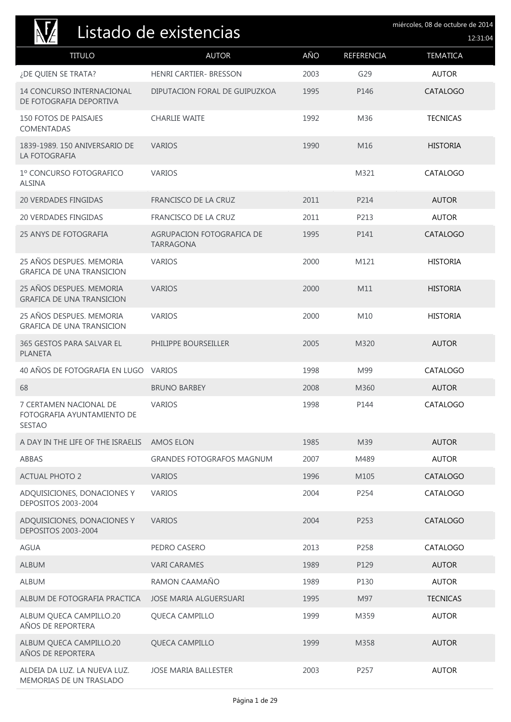| Listado de existencias                                                |                                               |      |            | miércoles, 08 de octubre de 2014<br>12:31:04 |
|-----------------------------------------------------------------------|-----------------------------------------------|------|------------|----------------------------------------------|
| <b>TITULO</b>                                                         | <b>AUTOR</b>                                  | AÑO  | REFERENCIA | <b>TEMATICA</b>                              |
| ¿DE QUIEN SE TRATA?                                                   | <b>HENRI CARTIER- BRESSON</b>                 | 2003 | G29        | <b>AUTOR</b>                                 |
| <b>14 CONCURSO INTERNACIONAL</b><br>DE FOTOGRAFIA DEPORTIVA           | DIPUTACION FORAL DE GUIPUZKOA                 | 1995 | P146       | <b>CATALOGO</b>                              |
| <b>150 FOTOS DE PAISAJES</b><br>COMENTADAS                            | <b>CHARLIE WAITE</b>                          | 1992 | M36        | <b>TECNICAS</b>                              |
| 1839-1989. 150 ANIVERSARIO DE<br>LA FOTOGRAFIA                        | <b>VARIOS</b>                                 | 1990 | M16        | <b>HISTORIA</b>                              |
| 1º CONCURSO FOTOGRAFICO<br><b>ALSINA</b>                              | <b>VARIOS</b>                                 |      | M321       | CATALOGO                                     |
| <b>20 VERDADES FINGIDAS</b>                                           | FRANCISCO DE LA CRUZ                          | 2011 | P214       | <b>AUTOR</b>                                 |
| <b>20 VERDADES FINGIDAS</b>                                           | FRANCISCO DE LA CRUZ                          | 2011 | P213       | <b>AUTOR</b>                                 |
| <b>25 ANYS DE FOTOGRAFIA</b>                                          | AGRUPACION FOTOGRAFICA DE<br><b>TARRAGONA</b> | 1995 | P141       | <b>CATALOGO</b>                              |
| 25 AÑOS DESPUES. MEMORIA<br><b>GRAFICA DE UNA TRANSICION</b>          | <b>VARIOS</b>                                 | 2000 | M121       | <b>HISTORIA</b>                              |
| 25 AÑOS DESPUES. MEMORIA<br><b>GRAFICA DE UNA TRANSICION</b>          | <b>VARIOS</b>                                 | 2000 | M11        | <b>HISTORIA</b>                              |
| 25 AÑOS DESPUES. MEMORIA<br><b>GRAFICA DE UNA TRANSICION</b>          | <b>VARIOS</b>                                 | 2000 | M10        | <b>HISTORIA</b>                              |
| 365 GESTOS PARA SALVAR EL<br><b>PLANETA</b>                           | PHILIPPE BOURSEILLER                          | 2005 | M320       | <b>AUTOR</b>                                 |
| 40 AÑOS DE FOTOGRAFIA EN LUGO VARIOS                                  |                                               | 1998 | M99        | CATALOGO                                     |
| 68                                                                    | <b>BRUNO BARBEY</b>                           | 2008 | M360       | <b>AUTOR</b>                                 |
| 7 CERTAMEN NACIONAL DE<br>FOTOGRAFIA AYUNTAMIENTO DE<br><b>SESTAO</b> | <b>VARIOS</b>                                 | 1998 | P144       | CATALOGO                                     |
| A DAY IN THE LIFE OF THE ISRAELIS                                     | <b>AMOS ELON</b>                              | 1985 | M39        | <b>AUTOR</b>                                 |
| ABBAS                                                                 | <b>GRANDES FOTOGRAFOS MAGNUM</b>              | 2007 | M489       | <b>AUTOR</b>                                 |
| <b>ACTUAL PHOTO 2</b>                                                 | <b>VARIOS</b>                                 | 1996 | M105       | CATALOGO                                     |
| ADQUISICIONES, DONACIONES Y<br><b>DEPOSITOS 2003-2004</b>             | <b>VARIOS</b>                                 | 2004 | P254       | CATALOGO                                     |
| ADQUISICIONES, DONACIONES Y<br>DEPOSITOS 2003-2004                    | <b>VARIOS</b>                                 | 2004 | P253       | <b>CATALOGO</b>                              |
| AGUA                                                                  | PEDRO CASERO                                  | 2013 | P258       | CATALOGO                                     |
| <b>ALBUM</b>                                                          | <b>VARI CARAMES</b>                           | 1989 | P129       | <b>AUTOR</b>                                 |
| <b>ALBUM</b>                                                          | RAMON CAAMAÑO                                 | 1989 | P130       | <b>AUTOR</b>                                 |
| ALBUM DE FOTOGRAFIA PRACTICA                                          | JOSE MARIA ALGUERSUARI                        | 1995 | M97        | <b>TECNICAS</b>                              |
| ALBUM QUECA CAMPILLO.20<br>AÑOS DE REPORTERA                          | <b>QUECA CAMPILLO</b>                         | 1999 | M359       | <b>AUTOR</b>                                 |
| ALBUM QUECA CAMPILLO.20<br>AÑOS DE REPORTERA                          | QUECA CAMPILLO                                | 1999 | M358       | <b>AUTOR</b>                                 |
| ALDEIA DA LUZ. LA NUEVA LUZ.<br>MEMORIAS DE UN TRASLADO               | <b>JOSE MARIA BALLESTER</b>                   | 2003 | P257       | <b>AUTOR</b>                                 |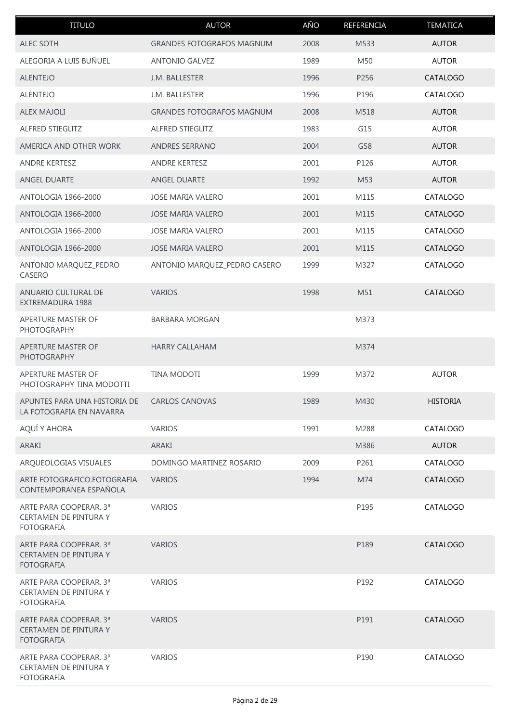| <b>TITULO</b>                                                               | <b>AUTOR</b>                     | AÑO  | REFERENCIA | <b>TEMATICA</b> |
|-----------------------------------------------------------------------------|----------------------------------|------|------------|-----------------|
| <b>ALEC SOTH</b>                                                            | <b>GRANDES FOTOGRAFOS MAGNUM</b> | 2008 | M533       | <b>AUTOR</b>    |
| ALEGORIA A LUIS BUÑUEL                                                      | <b>ANTONIO GALVEZ</b>            | 1989 | M50        | <b>AUTOR</b>    |
| <b>ALENTEJO</b>                                                             | J.M. BALLESTER                   | 1996 | P256       | CATALOGO        |
| <b>ALENTEJO</b>                                                             | J.M. BALLESTER                   | 1996 | P196       | CATALOGO        |
| <b>ALEX MAJOLI</b>                                                          | <b>GRANDES FOTOGRAFOS MAGNUM</b> | 2008 | M518       | <b>AUTOR</b>    |
| ALFRED STIEGLITZ                                                            | ALFRED STIEGLITZ                 | 1983 | G15        | <b>AUTOR</b>    |
| AMERICA AND OTHER WORK                                                      | <b>ANDRES SERRANO</b>            | 2004 | G58        | <b>AUTOR</b>    |
| <b>ANDRE KERTESZ</b>                                                        | ANDRE KERTESZ                    | 2001 | P126       | <b>AUTOR</b>    |
| ANGEL DUARTE                                                                | <b>ANGEL DUARTE</b>              | 1992 | M53        | <b>AUTOR</b>    |
| ANTOLOGIA 1966-2000                                                         | <b>JOSE MARIA VALERO</b>         | 2001 | M115       | CATALOGO        |
| ANTOLOGIA 1966-2000                                                         | <b>JOSE MARIA VALERO</b>         | 2001 | M115       | <b>CATALOGO</b> |
| ANTOLOGIA 1966-2000                                                         | <b>JOSE MARIA VALERO</b>         | 2001 | M115       | CATALOGO        |
| <b>ANTOLOGIA 1966-2000</b>                                                  | <b>JOSE MARIA VALERO</b>         | 2001 | M115       | CATALOGO        |
| ANTONIO MARQUEZ_PEDRO<br>CASERO                                             | ANTONIO MARQUEZ_PEDRO CASERO     | 1999 | M327       | CATALOGO        |
| ANUARIO CULTURAL DE<br>EXTREMADURA 1988                                     | <b>VARIOS</b>                    | 1998 | M51        | CATALOGO        |
| APERTURE MASTER OF<br><b>PHOTOGRAPHY</b>                                    | <b>BARBARA MORGAN</b>            |      | M373       |                 |
| APERTURE MASTER OF<br><b>PHOTOGRAPHY</b>                                    | <b>HARRY CALLAHAM</b>            |      | M374       |                 |
| APERTURE MASTER OF<br>PHOTOGRAPHY TINA MODOTTI                              | TINA MODOTI                      | 1999 | M372       | <b>AUTOR</b>    |
| APUNTES PARA UNA HISTORIA DE<br>LA FOTOGRAFIA EN NAVARRA                    | <b>CARLOS CANOVAS</b>            | 1989 | M430       | <b>HISTORIA</b> |
| AQUÍ Y AHORA                                                                | <b>VARIOS</b>                    | 1991 | M288       | CATALOGO        |
| ARAKI                                                                       | ARAKI                            |      | M386       | <b>AUTOR</b>    |
| ARQUEOLOGIAS VISUALES                                                       | DOMINGO MARTINEZ ROSARIO         | 2009 | P261       | CATALOGO        |
| ARTE FOTOGRAFICO.FOTOGRAFIA<br>CONTEMPORANEA ESPAÑOLA                       | <b>VARIOS</b>                    | 1994 | M74        | <b>CATALOGO</b> |
| ARTE PARA COOPERAR. 3ª<br>CERTAMEN DE PINTURA Y<br><b>FOTOGRAFIA</b>        | <b>VARIOS</b>                    |      | P195       | CATALOGO        |
| ARTE PARA COOPERAR. 3ª<br>CERTAMEN DE PINTURA Y<br><b>FOTOGRAFIA</b>        | <b>VARIOS</b>                    |      | P189       | CATALOGO        |
| ARTE PARA COOPERAR. 3ª<br>CERTAMEN DE PINTURA Y<br><b>FOTOGRAFIA</b>        | <b>VARIOS</b>                    |      | P192       | CATALOGO        |
| ARTE PARA COOPERAR. 3ª<br><b>CERTAMEN DE PINTURA Y</b><br><b>FOTOGRAFIA</b> | <b>VARIOS</b>                    |      | P191       | CATALOGO        |
| ARTE PARA COOPERAR. 3ª<br>CERTAMEN DE PINTURA Y<br><b>FOTOGRAFIA</b>        | <b>VARIOS</b>                    |      | P190       | CATALOGO        |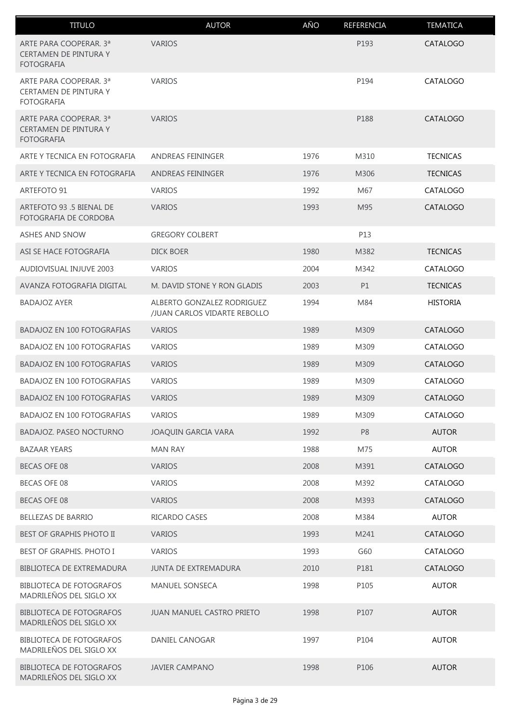| <b>TITULO</b>                                                               | <b>AUTOR</b>                                               | AÑO  | REFERENCIA     | <b>TEMATICA</b> |
|-----------------------------------------------------------------------------|------------------------------------------------------------|------|----------------|-----------------|
| ARTE PARA COOPERAR. 3ª<br><b>CERTAMEN DE PINTURA Y</b><br><b>FOTOGRAFIA</b> | <b>VARIOS</b>                                              |      | P193           | <b>CATALOGO</b> |
| ARTE PARA COOPERAR. 3ª<br>CERTAMEN DE PINTURA Y<br><b>FOTOGRAFIA</b>        | <b>VARIOS</b>                                              |      | P194           | CATALOGO        |
| ARTE PARA COOPERAR. 3ª<br><b>CERTAMEN DE PINTURA Y</b><br><b>FOTOGRAFIA</b> | <b>VARIOS</b>                                              |      | P188           | <b>CATALOGO</b> |
| ARTE Y TECNICA EN FOTOGRAFIA                                                | <b>ANDREAS FEININGER</b>                                   | 1976 | M310           | <b>TECNICAS</b> |
| ARTE Y TECNICA EN FOTOGRAFIA                                                | ANDREAS FEININGER                                          | 1976 | M306           | <b>TECNICAS</b> |
| ARTEFOTO 91                                                                 | <b>VARIOS</b>                                              | 1992 | M67            | CATALOGO        |
| ARTEFOTO 93 .5 BIENAL DE<br>FOTOGRAFIA DE CORDOBA                           | <b>VARIOS</b>                                              | 1993 | M95            | <b>CATALOGO</b> |
| <b>ASHES AND SNOW</b>                                                       | <b>GREGORY COLBERT</b>                                     |      | P13            |                 |
| ASI SE HACE FOTOGRAFIA                                                      | <b>DICK BOER</b>                                           | 1980 | M382           | <b>TECNICAS</b> |
| AUDIOVISUAL INJUVE 2003                                                     | <b>VARIOS</b>                                              | 2004 | M342           | CATALOGO        |
| AVANZA FOTOGRAFIA DIGITAL                                                   | M. DAVID STONE Y RON GLADIS                                | 2003 | P1             | <b>TECNICAS</b> |
| <b>BADAJOZ AYER</b>                                                         | ALBERTO GONZALEZ RODRIGUEZ<br>/JUAN CARLOS VIDARTE REBOLLO | 1994 | M84            | <b>HISTORIA</b> |
| <b>BADAJOZ EN 100 FOTOGRAFIAS</b>                                           | <b>VARIOS</b>                                              | 1989 | M309           | CATALOGO        |
| <b>BADAJOZ EN 100 FOTOGRAFIAS</b>                                           | <b>VARIOS</b>                                              | 1989 | M309           | CATALOGO        |
| <b>BADAJOZ EN 100 FOTOGRAFIAS</b>                                           | <b>VARIOS</b>                                              | 1989 | M309           | CATALOGO        |
| <b>BADAJOZ EN 100 FOTOGRAFIAS</b>                                           | <b>VARIOS</b>                                              | 1989 | M309           | CATALOGO        |
| <b>BADAJOZ EN 100 FOTOGRAFIAS</b>                                           | <b>VARIOS</b>                                              | 1989 | M309           | CATALOGO        |
| <b>BADAJOZ EN 100 FOTOGRAFIAS</b>                                           | <b>VARIOS</b>                                              | 1989 | M309           | CATALOGO        |
| <b>BADAJOZ. PASEO NOCTURNO</b>                                              | JOAQUIN GARCIA VARA                                        | 1992 | P <sub>8</sub> | <b>AUTOR</b>    |
| <b>BAZAAR YEARS</b>                                                         | <b>MAN RAY</b>                                             | 1988 | M75            | <b>AUTOR</b>    |
| <b>BECAS OFE 08</b>                                                         | <b>VARIOS</b>                                              | 2008 | M391           | CATALOGO        |
| <b>BECAS OFE 08</b>                                                         | <b>VARIOS</b>                                              | 2008 | M392           | CATALOGO        |
| <b>BECAS OFE 08</b>                                                         | <b>VARIOS</b>                                              | 2008 | M393           | <b>CATALOGO</b> |
| <b>BELLEZAS DE BARRIO</b>                                                   | RICARDO CASES                                              | 2008 | M384           | <b>AUTOR</b>    |
| <b>BEST OF GRAPHIS PHOTO II</b>                                             | <b>VARIOS</b>                                              | 1993 | M241           | <b>CATALOGO</b> |
| BEST OF GRAPHIS. PHOTO I                                                    | <b>VARIOS</b>                                              | 1993 | G60            | CATALOGO        |
| <b>BIBLIOTECA DE EXTREMADURA</b>                                            | <b>JUNTA DE EXTREMADURA</b>                                | 2010 | P181           | <b>CATALOGO</b> |
| <b>BIBLIOTECA DE FOTOGRAFOS</b><br>MADRILEÑOS DEL SIGLO XX                  | <b>MANUEL SONSECA</b>                                      | 1998 | P105           | <b>AUTOR</b>    |
| <b>BIBLIOTECA DE FOTOGRAFOS</b><br>MADRILEÑOS DEL SIGLO XX                  | <b>JUAN MANUEL CASTRO PRIETO</b>                           | 1998 | P107           | <b>AUTOR</b>    |
| <b>BIBLIOTECA DE FOTOGRAFOS</b><br>MADRILEÑOS DEL SIGLO XX                  | <b>DANIEL CANOGAR</b>                                      | 1997 | P104           | <b>AUTOR</b>    |
| <b>BIBLIOTECA DE FOTOGRAFOS</b><br>MADRILEÑOS DEL SIGLO XX                  | <b>JAVIER CAMPANO</b>                                      | 1998 | P106           | <b>AUTOR</b>    |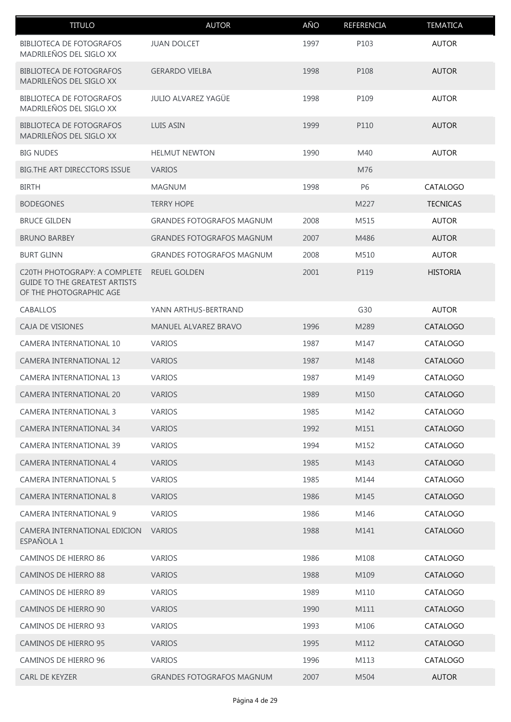| <b>TITULO</b>                                                                                   | <b>AUTOR</b>                     | AÑO  | REFERENCIA | <b>TEMATICA</b> |
|-------------------------------------------------------------------------------------------------|----------------------------------|------|------------|-----------------|
| <b>BIBLIOTECA DE FOTOGRAFOS</b><br>MADRILEÑOS DEL SIGLO XX                                      | <b>JUAN DOLCET</b>               | 1997 | P103       | <b>AUTOR</b>    |
| <b>BIBLIOTECA DE FOTOGRAFOS</b><br>MADRILEÑOS DEL SIGLO XX                                      | <b>GERARDO VIELBA</b>            | 1998 | P108       | <b>AUTOR</b>    |
| <b>BIBLIOTECA DE FOTOGRAFOS</b><br>MADRILEÑOS DEL SIGLO XX                                      | <b>JULIO ALVAREZ YAGÜE</b>       | 1998 | P109       | <b>AUTOR</b>    |
| <b>BIBLIOTECA DE FOTOGRAFOS</b><br>MADRILEÑOS DEL SIGLO XX                                      | <b>LUIS ASIN</b>                 | 1999 | P110       | <b>AUTOR</b>    |
| <b>BIG NUDES</b>                                                                                | <b>HELMUT NEWTON</b>             | 1990 | M40        | <b>AUTOR</b>    |
| BIG.THE ART DIRECCTORS ISSUE                                                                    | <b>VARIOS</b>                    |      | M76        |                 |
| <b>BIRTH</b>                                                                                    | <b>MAGNUM</b>                    | 1998 | P6         | CATALOGO        |
| <b>BODEGONES</b>                                                                                | <b>TERRY HOPE</b>                |      | M227       | <b>TECNICAS</b> |
| <b>BRUCE GILDEN</b>                                                                             | <b>GRANDES FOTOGRAFOS MAGNUM</b> | 2008 | M515       | <b>AUTOR</b>    |
| <b>BRUNO BARBEY</b>                                                                             | <b>GRANDES FOTOGRAFOS MAGNUM</b> | 2007 | M486       | <b>AUTOR</b>    |
| <b>BURT GLINN</b>                                                                               | <b>GRANDES FOTOGRAFOS MAGNUM</b> | 2008 | M510       | <b>AUTOR</b>    |
| C20TH PHOTOGRAPY: A COMPLETE<br><b>GUIDE TO THE GREATEST ARTISTS</b><br>OF THE PHOTOGRAPHIC AGE | <b>REUEL GOLDEN</b>              | 2001 | P119       | <b>HISTORIA</b> |
| <b>CABALLOS</b>                                                                                 | YANN ARTHUS-BERTRAND             |      | G30        | <b>AUTOR</b>    |
| CAJA DE VISIONES                                                                                | <b>MANUEL ALVAREZ BRAVO</b>      | 1996 | M289       | <b>CATALOGO</b> |
| <b>CAMERA INTERNATIONAL 10</b>                                                                  | <b>VARIOS</b>                    | 1987 | M147       | CATALOGO        |
| <b>CAMERA INTERNATIONAL 12</b>                                                                  | <b>VARIOS</b>                    | 1987 | M148       | CATALOGO        |
| <b>CAMERA INTERNATIONAL 13</b>                                                                  | <b>VARIOS</b>                    | 1987 | M149       | CATALOGO        |
| CAMERA INTERNATIONAL 20                                                                         | <b>VARIOS</b>                    | 1989 | M150       | <b>CATALOGO</b> |
| CAMERA INTERNATIONAL 3                                                                          | <b>VARIOS</b>                    | 1985 | M142       | CATALOGO        |
| CAMERA INTERNATIONAL 34                                                                         | <b>VARIOS</b>                    | 1992 | M151       | CATALOGO        |
| <b>CAMERA INTERNATIONAL 39</b>                                                                  | <b>VARIOS</b>                    | 1994 | M152       | CATALOGO        |
| <b>CAMERA INTERNATIONAL 4</b>                                                                   | <b>VARIOS</b>                    | 1985 | M143       | <b>CATALOGO</b> |
| <b>CAMERA INTERNATIONAL 5</b>                                                                   | <b>VARIOS</b>                    | 1985 | M144       | CATALOGO        |
| CAMERA INTERNATIONAL 8                                                                          | <b>VARIOS</b>                    | 1986 | M145       | <b>CATALOGO</b> |
| <b>CAMERA INTERNATIONAL 9</b>                                                                   | <b>VARIOS</b>                    | 1986 | M146       | CATALOGO        |
| CAMERA INTERNATIONAL EDICION<br>ESPAÑOLA 1                                                      | <b>VARIOS</b>                    | 1988 | M141       | <b>CATALOGO</b> |
| <b>CAMINOS DE HIERRO 86</b>                                                                     | <b>VARIOS</b>                    | 1986 | M108       | CATALOGO        |
| CAMINOS DE HIERRO 88                                                                            | <b>VARIOS</b>                    | 1988 | M109       | <b>CATALOGO</b> |
| CAMINOS DE HIERRO 89                                                                            | <b>VARIOS</b>                    | 1989 | M110       | CATALOGO        |
| CAMINOS DE HIERRO 90                                                                            | <b>VARIOS</b>                    | 1990 | M111       | <b>CATALOGO</b> |
| CAMINOS DE HIERRO 93                                                                            | <b>VARIOS</b>                    | 1993 | M106       | CATALOGO        |
| <b>CAMINOS DE HIERRO 95</b>                                                                     | <b>VARIOS</b>                    | 1995 | M112       | <b>CATALOGO</b> |
| CAMINOS DE HIERRO 96                                                                            | <b>VARIOS</b>                    | 1996 | M113       | CATALOGO        |
| <b>CARL DE KEYZER</b>                                                                           | <b>GRANDES FOTOGRAFOS MAGNUM</b> | 2007 | M504       | <b>AUTOR</b>    |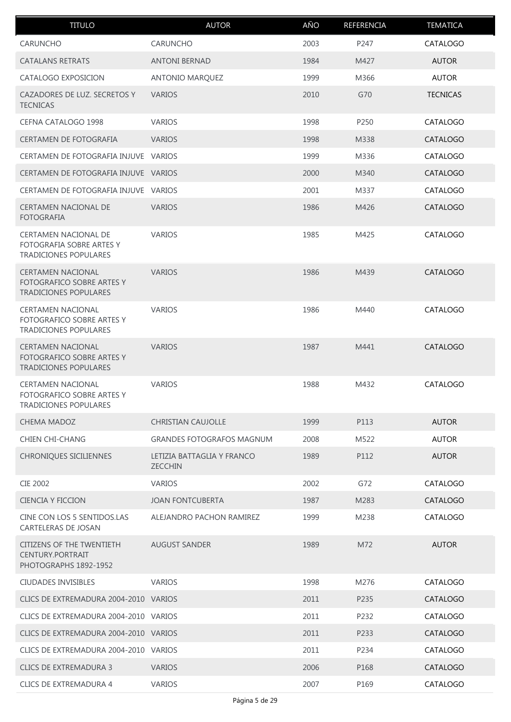| <b>TITULO</b>                                                                                | <b>AUTOR</b>                                 | AÑO  | <b>REFERENCIA</b> | <b>TEMATICA</b> |
|----------------------------------------------------------------------------------------------|----------------------------------------------|------|-------------------|-----------------|
| <b>CARUNCHO</b>                                                                              | <b>CARUNCHO</b>                              | 2003 | P247              | CATALOGO        |
| <b>CATALANS RETRATS</b>                                                                      | <b>ANTONI BERNAD</b>                         | 1984 | M427              | <b>AUTOR</b>    |
| CATALOGO EXPOSICION                                                                          | ANTONIO MARQUEZ                              | 1999 | M366              | <b>AUTOR</b>    |
| CAZADORES DE LUZ. SECRETOS Y<br><b>TECNICAS</b>                                              | <b>VARIOS</b>                                | 2010 | G70               | <b>TECNICAS</b> |
| CEFNA CATALOGO 1998                                                                          | <b>VARIOS</b>                                | 1998 | P250              | CATALOGO        |
| CERTAMEN DE FOTOGRAFIA                                                                       | <b>VARIOS</b>                                | 1998 | M338              | CATALOGO        |
| CERTAMEN DE FOTOGRAFIA INJUVE VARIOS                                                         |                                              | 1999 | M336              | CATALOGO        |
| CERTAMEN DE FOTOGRAFIA INJUVE VARIOS                                                         |                                              | 2000 | M340              | CATALOGO        |
| CERTAMEN DE FOTOGRAFIA INJUVE VARIOS                                                         |                                              | 2001 | M337              | CATALOGO        |
| <b>CERTAMEN NACIONAL DE</b><br><b>FOTOGRAFIA</b>                                             | <b>VARIOS</b>                                | 1986 | M426              | CATALOGO        |
| <b>CERTAMEN NACIONAL DE</b><br>FOTOGRAFIA SOBRE ARTES Y<br><b>TRADICIONES POPULARES</b>      | <b>VARIOS</b>                                | 1985 | M425              | CATALOGO        |
| <b>CERTAMEN NACIONAL</b><br><b>FOTOGRAFICO SOBRE ARTES Y</b><br><b>TRADICIONES POPULARES</b> | <b>VARIOS</b>                                | 1986 | M439              | CATALOGO        |
| <b>CERTAMEN NACIONAL</b><br>FOTOGRAFICO SOBRE ARTES Y<br>TRADICIONES POPULARES               | <b>VARIOS</b>                                | 1986 | M440              | CATALOGO        |
| <b>CERTAMEN NACIONAL</b><br>FOTOGRAFICO SOBRE ARTES Y<br><b>TRADICIONES POPULARES</b>        | <b>VARIOS</b>                                | 1987 | M441              | CATALOGO        |
| <b>CERTAMEN NACIONAL</b><br>FOTOGRAFICO SOBRE ARTES Y<br>TRADICIONES POPULARES               | <b>VARIOS</b>                                | 1988 | M432              | CATALOGO        |
| <b>CHEMA MADOZ</b>                                                                           | <b>CHRISTIAN CAUJOLLE</b>                    | 1999 | P113              | <b>AUTOR</b>    |
| <b>CHIEN CHI-CHANG</b>                                                                       | <b>GRANDES FOTOGRAFOS MAGNUM</b>             | 2008 | M522              | <b>AUTOR</b>    |
| <b>CHRONIQUES SICILIENNES</b>                                                                | LETIZIA BATTAGLIA Y FRANCO<br><b>ZECCHIN</b> | 1989 | P112              | <b>AUTOR</b>    |
| <b>CIE 2002</b>                                                                              | <b>VARIOS</b>                                | 2002 | G72               | CATALOGO        |
| <b>CIENCIA Y FICCION</b>                                                                     | <b>JOAN FONTCUBERTA</b>                      | 1987 | M283              | CATALOGO        |
| CINE CON LOS 5 SENTIDOS.LAS<br><b>CARTELERAS DE JOSAN</b>                                    | ALEJANDRO PACHON RAMIREZ                     | 1999 | M238              | CATALOGO        |
| <b>CITIZENS OF THE TWENTIETH</b><br>CENTURY.PORTRAIT<br>PHOTOGRAPHS 1892-1952                | <b>AUGUST SANDER</b>                         | 1989 | M72               | <b>AUTOR</b>    |
| CIUDADES INVISIBLES                                                                          | <b>VARIOS</b>                                | 1998 | M276              | CATALOGO        |
| CLICS DE EXTREMADURA 2004-2010 VARIOS                                                        |                                              | 2011 | P235              | CATALOGO        |
| CLICS DE EXTREMADURA 2004-2010 VARIOS                                                        |                                              | 2011 | P232              | CATALOGO        |
| CLICS DE EXTREMADURA 2004-2010 VARIOS                                                        |                                              | 2011 | P233              | CATALOGO        |
| CLICS DE EXTREMADURA 2004-2010 VARIOS                                                        |                                              | 2011 | P234              | CATALOGO        |
| <b>CLICS DE EXTREMADURA 3</b>                                                                | <b>VARIOS</b>                                | 2006 | P168              | CATALOGO        |
| <b>CLICS DE EXTREMADURA 4</b>                                                                | <b>VARIOS</b>                                | 2007 | P169              | CATALOGO        |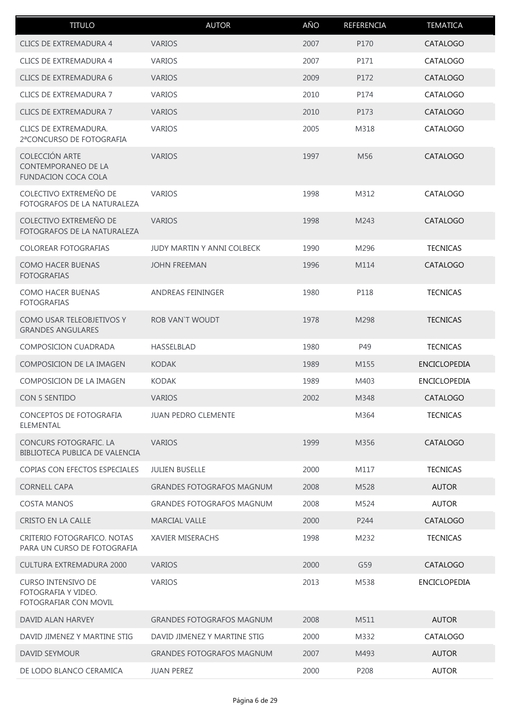| <b>TITULO</b>                                                              | <b>AUTOR</b>                      | AÑO  | REFERENCIA      | <b>TEMATICA</b>     |
|----------------------------------------------------------------------------|-----------------------------------|------|-----------------|---------------------|
| <b>CLICS DE EXTREMADURA 4</b>                                              | <b>VARIOS</b>                     | 2007 | P170            | CATALOGO            |
| <b>CLICS DE EXTREMADURA 4</b>                                              | <b>VARIOS</b>                     | 2007 | P171            | CATALOGO            |
| <b>CLICS DE EXTREMADURA 6</b>                                              | <b>VARIOS</b>                     | 2009 | P172            | CATALOGO            |
| CLICS DE EXTREMADURA 7                                                     | <b>VARIOS</b>                     | 2010 | P174            | CATALOGO            |
| <b>CLICS DE EXTREMADURA 7</b>                                              | <b>VARIOS</b>                     | 2010 | P173            | CATALOGO            |
| CLICS DE EXTREMADURA.<br>2ªCONCURSO DE FOTOGRAFIA                          | <b>VARIOS</b>                     | 2005 | M318            | CATALOGO            |
| COLECCIÓN ARTE<br><b>CONTEMPORANEO DE LA</b><br><b>FUNDACION COCA COLA</b> | <b>VARIOS</b>                     | 1997 | M <sub>56</sub> | CATALOGO            |
| COLECTIVO EXTREMEÑO DE<br>FOTOGRAFOS DE LA NATURALEZA                      | <b>VARIOS</b>                     | 1998 | M312            | CATALOGO            |
| COLECTIVO EXTREMEÑO DE<br>FOTOGRAFOS DE LA NATURALEZA                      | <b>VARIOS</b>                     | 1998 | M243            | CATALOGO            |
| COLOREAR FOTOGRAFIAS                                                       | <b>JUDY MARTIN Y ANNI COLBECK</b> | 1990 | M296            | <b>TECNICAS</b>     |
| <b>COMO HACER BUENAS</b><br><b>FOTOGRAFIAS</b>                             | <b>JOHN FREEMAN</b>               | 1996 | M114            | CATALOGO            |
| <b>COMO HACER BUENAS</b><br><b>FOTOGRAFIAS</b>                             | <b>ANDREAS FEININGER</b>          | 1980 | P118            | <b>TECNICAS</b>     |
| COMO USAR TELEOBJETIVOS Y<br><b>GRANDES ANGULARES</b>                      | ROB VAN'T WOUDT                   | 1978 | M298            | <b>TECNICAS</b>     |
| <b>COMPOSICION CUADRADA</b>                                                | <b>HASSELBLAD</b>                 | 1980 | P49             | <b>TECNICAS</b>     |
| COMPOSICION DE LA IMAGEN                                                   | <b>KODAK</b>                      | 1989 | M155            | <b>ENCICLOPEDIA</b> |
| COMPOSICION DE LA IMAGEN                                                   | <b>KODAK</b>                      | 1989 | M403            | <b>ENCICLOPEDIA</b> |
| <b>CON 5 SENTIDO</b>                                                       | <b>VARIOS</b>                     | 2002 | M348            | CATALOGO            |
| CONCEPTOS DE FOTOGRAFIA<br>ELEMENTAL                                       | <b>JUAN PEDRO CLEMENTE</b>        |      | M364            | <b>TECNICAS</b>     |
| CONCURS FOTOGRAFIC. LA<br>BIBLIOTECA PUBLICA DE VALENCIA                   | <b>VARIOS</b>                     | 1999 | M356            | CATALOGO            |
| COPIAS CON EFECTOS ESPECIALES                                              | <b>JULIEN BUSELLE</b>             | 2000 | M117            | <b>TECNICAS</b>     |
| <b>CORNELL CAPA</b>                                                        | <b>GRANDES FOTOGRAFOS MAGNUM</b>  | 2008 | M528            | <b>AUTOR</b>        |
| <b>COSTA MANOS</b>                                                         | <b>GRANDES FOTOGRAFOS MAGNUM</b>  | 2008 | M524            | <b>AUTOR</b>        |
| CRISTO EN LA CALLE                                                         | <b>MARCIAL VALLE</b>              | 2000 | P244            | CATALOGO            |
| CRITERIO FOTOGRAFICO. NOTAS<br>PARA UN CURSO DE FOTOGRAFIA                 | <b>XAVIER MISERACHS</b>           | 1998 | M232            | <b>TECNICAS</b>     |
| CULTURA EXTREMADURA 2000                                                   | <b>VARIOS</b>                     | 2000 | G59             | CATALOGO            |
| <b>CURSO INTENSIVO DE</b><br>FOTOGRAFIA Y VIDEO.<br>FOTOGRAFIAR CON MOVIL  | <b>VARIOS</b>                     | 2013 | M538            | <b>ENCICLOPEDIA</b> |
| DAVID ALAN HARVEY                                                          | <b>GRANDES FOTOGRAFOS MAGNUM</b>  | 2008 | M511            | <b>AUTOR</b>        |
| DAVID JIMENEZ Y MARTINE STIG                                               | DAVID JIMENEZ Y MARTINE STIG      | 2000 | M332            | CATALOGO            |
| DAVID SEYMOUR                                                              | <b>GRANDES FOTOGRAFOS MAGNUM</b>  | 2007 | M493            | <b>AUTOR</b>        |
| DE LODO BLANCO CERAMICA                                                    | <b>JUAN PEREZ</b>                 | 2000 | P208            | <b>AUTOR</b>        |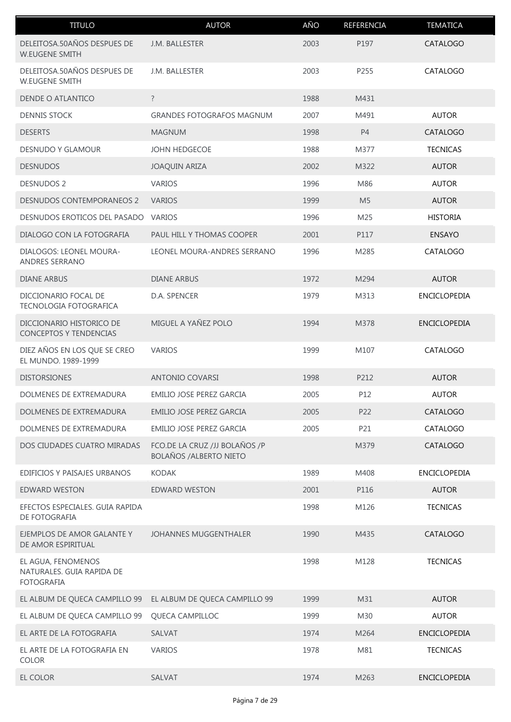| <b>TITULO</b>                                                        | <b>AUTOR</b>                                                    | AÑO  | REFERENCIA     | <b>TEMATICA</b>     |
|----------------------------------------------------------------------|-----------------------------------------------------------------|------|----------------|---------------------|
| DELEITOSA.50AÑOS DESPUES DE<br><b>W.EUGENE SMITH</b>                 | J.M. BALLESTER                                                  | 2003 | P197           | CATALOGO            |
| DELEITOSA.50AÑOS DESPUES DE<br><b>W.EUGENE SMITH</b>                 | J.M. BALLESTER                                                  | 2003 | P255           | CATALOGO            |
| DENDE O ATLANTICO                                                    | $\overline{?}$                                                  | 1988 | M431           |                     |
| <b>DENNIS STOCK</b>                                                  | <b>GRANDES FOTOGRAFOS MAGNUM</b>                                | 2007 | M491           | <b>AUTOR</b>        |
| <b>DESERTS</b>                                                       | <b>MAGNUM</b>                                                   | 1998 | <b>P4</b>      | CATALOGO            |
| DESNUDO Y GLAMOUR                                                    | <b>JOHN HEDGECOE</b>                                            | 1988 | M377           | <b>TECNICAS</b>     |
| <b>DESNUDOS</b>                                                      | <b>JOAQUIN ARIZA</b>                                            | 2002 | M322           | <b>AUTOR</b>        |
| <b>DESNUDOS 2</b>                                                    | <b>VARIOS</b>                                                   | 1996 | M86            | <b>AUTOR</b>        |
| <b>DESNUDOS CONTEMPORANEOS 2</b>                                     | <b>VARIOS</b>                                                   | 1999 | M <sub>5</sub> | <b>AUTOR</b>        |
| DESNUDOS EROTICOS DEL PASADO                                         | <b>VARIOS</b>                                                   | 1996 | M25            | <b>HISTORIA</b>     |
| DIALOGO CON LA FOTOGRAFIA                                            | PAUL HILL Y THOMAS COOPER                                       | 2001 | P117           | <b>ENSAYO</b>       |
| DIALOGOS: LEONEL MOURA-<br><b>ANDRES SERRANO</b>                     | LEONEL MOURA-ANDRES SERRANO                                     | 1996 | M285           | CATALOGO            |
| <b>DIANE ARBUS</b>                                                   | <b>DIANE ARBUS</b>                                              | 1972 | M294           | <b>AUTOR</b>        |
| DICCIONARIO FOCAL DE<br>TECNOLOGIA FOTOGRAFICA                       | D.A. SPENCER                                                    | 1979 | M313           | ENCICLOPEDIA        |
| DICCIONARIO HISTORICO DE<br><b>CONCEPTOS Y TENDENCIAS</b>            | MIGUEL A YAÑEZ POLO                                             | 1994 | M378           | <b>ENCICLOPEDIA</b> |
| DIEZ AÑOS EN LOS QUE SE CREO<br>EL MUNDO. 1989-1999                  | <b>VARIOS</b>                                                   | 1999 | M107           | CATALOGO            |
| <b>DISTORSIONES</b>                                                  | ANTONIO COVARSI                                                 | 1998 | P212           | <b>AUTOR</b>        |
| DOLMENES DE EXTREMADURA                                              | EMILIO JOSE PEREZ GARCIA                                        | 2005 | P12            | <b>AUTOR</b>        |
| DOLMENES DE EXTREMADURA                                              | <b>EMILIO JOSE PEREZ GARCIA</b>                                 | 2005 | P22            | CATALOGO            |
| DOLMENES DE EXTREMADURA                                              | EMILIO JOSE PEREZ GARCIA                                        | 2005 | P21            | CATALOGO            |
| DOS CIUDADES CUATRO MIRADAS                                          | FCO.DE LA CRUZ /JJ BOLAÑOS /P<br><b>BOLAÑOS / ALBERTO NIETO</b> |      | M379           | CATALOGO            |
| EDIFICIOS Y PAISAJES URBANOS                                         | KODAK                                                           | 1989 | M408           | ENCICLOPEDIA        |
| <b>EDWARD WESTON</b>                                                 | EDWARD WESTON                                                   | 2001 | P116           | <b>AUTOR</b>        |
| EFECTOS ESPECIALES. GUIA RAPIDA<br>DE FOTOGRAFIA                     |                                                                 | 1998 | M126           | <b>TECNICAS</b>     |
| EJEMPLOS DE AMOR GALANTE Y<br>DE AMOR ESPIRITUAL                     | <b>JOHANNES MUGGENTHALER</b>                                    | 1990 | M435           | CATALOGO            |
| EL AGUA, FENOMENOS<br>NATURALES. GUIA RAPIDA DE<br><b>FOTOGRAFIA</b> |                                                                 | 1998 | M128           | <b>TECNICAS</b>     |
| EL ALBUM DE QUECA CAMPILLO 99                                        | EL ALBUM DE QUECA CAMPILLO 99                                   | 1999 | M31            | <b>AUTOR</b>        |
| EL ALBUM DE QUECA CAMPILLO 99                                        | QUECA CAMPILLOC                                                 | 1999 | M30            | <b>AUTOR</b>        |
| EL ARTE DE LA FOTOGRAFIA                                             | SALVAT                                                          | 1974 | M264           | <b>ENCICLOPEDIA</b> |
| EL ARTE DE LA FOTOGRAFIA EN<br><b>COLOR</b>                          | <b>VARIOS</b>                                                   | 1978 | M81            | <b>TECNICAS</b>     |
| EL COLOR                                                             | SALVAT                                                          | 1974 | M263           | <b>ENCICLOPEDIA</b> |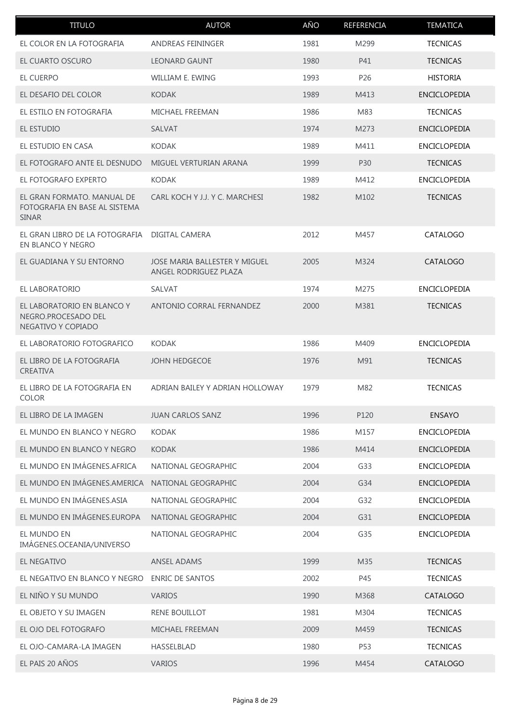| <b>TITULO</b>                                                               | <b>AUTOR</b>                                           | AÑO  | REFERENCIA        | <b>TEMATICA</b>     |
|-----------------------------------------------------------------------------|--------------------------------------------------------|------|-------------------|---------------------|
| EL COLOR EN LA FOTOGRAFIA                                                   | <b>ANDREAS FEININGER</b>                               | 1981 | M299              | <b>TECNICAS</b>     |
| EL CUARTO OSCURO                                                            | <b>LEONARD GAUNT</b>                                   | 1980 | P41               | <b>TECNICAS</b>     |
| EL CUERPO                                                                   | WILLIAM E. EWING                                       | 1993 | P <sub>26</sub>   | <b>HISTORIA</b>     |
| EL DESAFIO DEL COLOR                                                        | <b>KODAK</b>                                           | 1989 | M413              | <b>ENCICLOPEDIA</b> |
| EL ESTILO EN FOTOGRAFIA                                                     | MICHAEL FREEMAN                                        | 1986 | M83               | <b>TECNICAS</b>     |
| EL ESTUDIO                                                                  | <b>SALVAT</b>                                          | 1974 | M273              | <b>ENCICLOPEDIA</b> |
| EL ESTUDIO EN CASA                                                          | <b>KODAK</b>                                           | 1989 | M411              | <b>ENCICLOPEDIA</b> |
| EL FOTOGRAFO ANTE EL DESNUDO                                                | MIGUEL VERTURIAN ARANA                                 | 1999 | P30               | <b>TECNICAS</b>     |
| EL FOTOGRAFO EXPERTO                                                        | <b>KODAK</b>                                           | 1989 | M412              | <b>ENCICLOPEDIA</b> |
| EL GRAN FORMATO. MANUAL DE<br>FOTOGRAFIA EN BASE AL SISTEMA<br><b>SINAR</b> | CARL KOCH Y J.J. Y C. MARCHESI                         | 1982 | M <sub>1</sub> 02 | <b>TECNICAS</b>     |
| EL GRAN LIBRO DE LA FOTOGRAFIA<br>EN BLANCO Y NEGRO                         | DIGITAL CAMERA                                         | 2012 | M457              | CATALOGO            |
| EL GUADIANA Y SU ENTORNO                                                    | JOSE MARIA BALLESTER Y MIGUEL<br>ANGEL RODRIGUEZ PLAZA | 2005 | M324              | CATALOGO            |
| EL LABORATORIO                                                              | SALVAT                                                 | 1974 | M275              | <b>ENCICLOPEDIA</b> |
| EL LABORATORIO EN BLANCO Y<br>NEGRO.PROCESADO DEL<br>NEGATIVO Y COPIADO     | ANTONIO CORRAL FERNANDEZ                               | 2000 | M381              | <b>TECNICAS</b>     |
| EL LABORATORIO FOTOGRAFICO                                                  | <b>KODAK</b>                                           | 1986 | M409              | <b>ENCICLOPEDIA</b> |
| EL LIBRO DE LA FOTOGRAFIA<br><b>CREATIVA</b>                                | <b>JOHN HEDGECOE</b>                                   | 1976 | M91               | <b>TECNICAS</b>     |
| EL LIBRO DE LA FOTOGRAFIA EN<br><b>COLOR</b>                                | ADRIAN BAILEY Y ADRIAN HOLLOWAY                        | 1979 | M82               | <b>TECNICAS</b>     |
| EL LIBRO DE LA IMAGEN                                                       | <b>JUAN CARLOS SANZ</b>                                | 1996 | P120              | <b>ENSAYO</b>       |
| EL MUNDO EN BLANCO Y NEGRO                                                  | <b>KODAK</b>                                           | 1986 | M157              | <b>ENCICLOPEDIA</b> |
| EL MUNDO EN BLANCO Y NEGRO                                                  | <b>KODAK</b>                                           | 1986 | M414              | <b>ENCICLOPEDIA</b> |
| EL MUNDO EN IMÁGENES.AFRICA                                                 | NATIONAL GEOGRAPHIC                                    | 2004 | G33               | <b>ENCICLOPEDIA</b> |
| EL MUNDO EN IMÁGENES.AMERICA                                                | NATIONAL GEOGRAPHIC                                    | 2004 | G34               | <b>ENCICLOPEDIA</b> |
| EL MUNDO EN IMÁGENES.ASIA                                                   | NATIONAL GEOGRAPHIC                                    | 2004 | G32               | <b>ENCICLOPEDIA</b> |
| EL MUNDO EN IMÁGENES.EUROPA                                                 | NATIONAL GEOGRAPHIC                                    | 2004 | G31               | <b>ENCICLOPEDIA</b> |
| EL MUNDO EN<br>IMÁGENES.OCEANIA/UNIVERSO                                    | NATIONAL GEOGRAPHIC                                    | 2004 | G35               | <b>ENCICLOPEDIA</b> |
| EL NEGATIVO                                                                 | <b>ANSEL ADAMS</b>                                     | 1999 | M35               | <b>TECNICAS</b>     |
| EL NEGATIVO EN BLANCO Y NEGRO                                               | <b>ENRIC DE SANTOS</b>                                 | 2002 | P45               | <b>TECNICAS</b>     |
| EL NIÑO Y SU MUNDO                                                          | <b>VARIOS</b>                                          | 1990 | M368              | <b>CATALOGO</b>     |
| EL OBJETO Y SU IMAGEN                                                       | RENE BOUILLOT                                          | 1981 | M304              | <b>TECNICAS</b>     |
| EL OJO DEL FOTOGRAFO                                                        | MICHAEL FREEMAN                                        | 2009 | M459              | <b>TECNICAS</b>     |
| EL OJO-CAMARA-LA IMAGEN                                                     | <b>HASSELBLAD</b>                                      | 1980 | P53               | <b>TECNICAS</b>     |
| EL PAIS 20 AÑOS                                                             | <b>VARIOS</b>                                          | 1996 | M454              | CATALOGO            |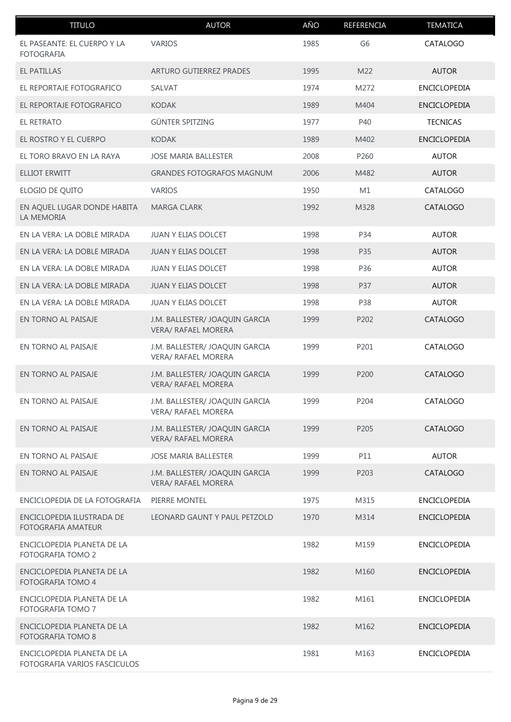| <b>TITULO</b>                                              | <b>AUTOR</b>                                                 | AÑO  | REFERENCIA     | <b>TEMATICA</b>     |
|------------------------------------------------------------|--------------------------------------------------------------|------|----------------|---------------------|
| EL PASEANTE: EL CUERPO Y LA<br><b>FOTOGRAFIA</b>           | <b>VARIOS</b>                                                | 1985 | G <sub>6</sub> | CATALOGO            |
| <b>EL PATILLAS</b>                                         | ARTURO GUTIERREZ PRADES                                      | 1995 | M22            | <b>AUTOR</b>        |
| EL REPORTAJE FOTOGRAFICO                                   | SALVAT                                                       | 1974 | M272           | ENCICLOPEDIA        |
| EL REPORTAJE FOTOGRAFICO                                   | <b>KODAK</b>                                                 | 1989 | M404           | <b>ENCICLOPEDIA</b> |
| EL RETRATO                                                 | <b>GÜNTER SPITZING</b>                                       | 1977 | P40            | <b>TECNICAS</b>     |
| EL ROSTRO Y EL CUERPO                                      | <b>KODAK</b>                                                 | 1989 | M402           | ENCICLOPEDIA        |
| EL TORO BRAVO EN LA RAYA                                   | <b>JOSE MARIA BALLESTER</b>                                  | 2008 | P260           | <b>AUTOR</b>        |
| <b>ELLIOT ERWITT</b>                                       | <b>GRANDES FOTOGRAFOS MAGNUM</b>                             | 2006 | M482           | <b>AUTOR</b>        |
| ELOGIO DE QUITO                                            | <b>VARIOS</b>                                                | 1950 | M1             | CATALOGO            |
| EN AQUEL LUGAR DONDE HABITA<br>LA MEMORIA                  | <b>MARGA CLARK</b>                                           | 1992 | M328           | CATALOGO            |
| EN LA VERA: LA DOBLE MIRADA                                | JUAN Y ELIAS DOLCET                                          | 1998 | P34            | <b>AUTOR</b>        |
| EN LA VERA: LA DOBLE MIRADA                                | JUAN Y ELIAS DOLCET                                          | 1998 | P35            | <b>AUTOR</b>        |
| EN LA VERA: LA DOBLE MIRADA                                | JUAN Y ELIAS DOLCET                                          | 1998 | P36            | <b>AUTOR</b>        |
| EN LA VERA: LA DOBLE MIRADA                                | JUAN Y ELIAS DOLCET                                          | 1998 | P37            | <b>AUTOR</b>        |
| EN LA VERA: LA DOBLE MIRADA                                | JUAN Y ELIAS DOLCET                                          | 1998 | P38            | <b>AUTOR</b>        |
| EN TORNO AL PAISAJE                                        | J.M. BALLESTER/ JOAQUIN GARCIA<br><b>VERA/ RAFAEL MORERA</b> | 1999 | P202           | CATALOGO            |
| EN TORNO AL PAISAJE                                        | J.M. BALLESTER/ JOAQUIN GARCIA<br><b>VERA/ RAFAEL MORERA</b> | 1999 | P201           | CATALOGO            |
| EN TORNO AL PAISAJE                                        | J.M. BALLESTER/ JOAQUIN GARCIA<br><b>VERA/ RAFAEL MORERA</b> | 1999 | P200           | <b>CATALOGO</b>     |
| EN TORNO AL PAISAJE                                        | J.M. BALLESTER/ JOAQUIN GARCIA<br><b>VERA/ RAFAEL MORERA</b> | 1999 | P204           | CATALOGO            |
| EN TORNO AL PAISAJE                                        | J.M. BALLESTER/ JOAQUIN GARCIA<br><b>VERA/ RAFAEL MORERA</b> | 1999 | P205           | <b>CATALOGO</b>     |
| EN TORNO AL PAISAJE                                        | <b>JOSE MARIA BALLESTER</b>                                  | 1999 | P11            | <b>AUTOR</b>        |
| EN TORNO AL PAISAJE                                        | J.M. BALLESTER/ JOAQUIN GARCIA<br><b>VERA/ RAFAEL MORERA</b> | 1999 | P203           | CATALOGO            |
| ENCICLOPEDIA DE LA FOTOGRAFIA                              | PIERRE MONTEL                                                | 1975 | M315           | ENCICLOPEDIA        |
| ENCICLOPEDIA ILUSTRADA DE<br><b>FOTOGRAFIA AMATEUR</b>     | LEONARD GAUNT Y PAUL PETZOLD                                 | 1970 | M314           | ENCICLOPEDIA        |
| ENCICLOPEDIA PLANETA DE LA<br>FOTOGRAFIA TOMO 2            |                                                              | 1982 | M159           | ENCICLOPEDIA        |
| ENCICLOPEDIA PLANETA DE LA<br>FOTOGRAFIA TOMO 4            |                                                              | 1982 | M160           | <b>ENCICLOPEDIA</b> |
| ENCICLOPEDIA PLANETA DE LA<br>FOTOGRAFIA TOMO 7            |                                                              | 1982 | M161           | ENCICLOPEDIA        |
| ENCICLOPEDIA PLANETA DE LA<br><b>FOTOGRAFIA TOMO 8</b>     |                                                              | 1982 | M162           | ENCICLOPEDIA        |
| ENCICLOPEDIA PLANETA DE LA<br>FOTOGRAFIA VARIOS FASCICULOS |                                                              | 1981 | M163           | ENCICLOPEDIA        |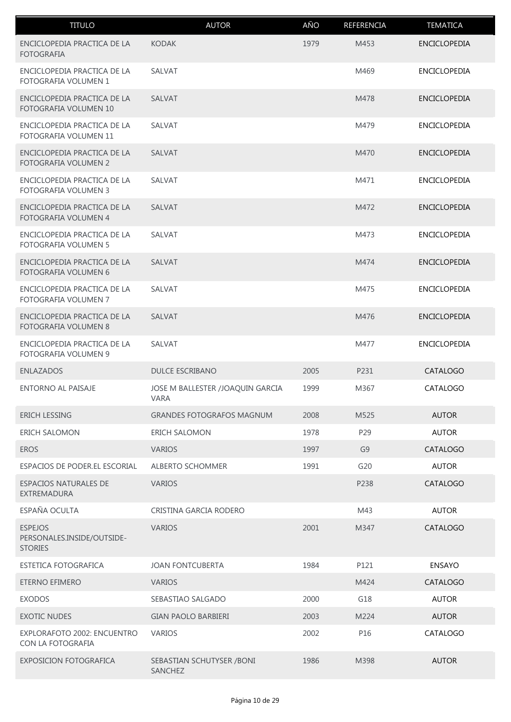| <b>TITULO</b>                                                  | <b>AUTOR</b>                                    | AÑO  | REFERENCIA     | <b>TEMATICA</b>     |
|----------------------------------------------------------------|-------------------------------------------------|------|----------------|---------------------|
| ENCICLOPEDIA PRACTICA DE LA<br><b>FOTOGRAFIA</b>               | <b>KODAK</b>                                    | 1979 | M453           | <b>ENCICLOPEDIA</b> |
| ENCICLOPEDIA PRACTICA DE LA<br><b>FOTOGRAFIA VOLUMEN 1</b>     | SALVAT                                          |      | M469           | <b>ENCICLOPEDIA</b> |
| ENCICLOPEDIA PRACTICA DE LA<br><b>FOTOGRAFIA VOLUMEN 10</b>    | SALVAT                                          |      | M478           | <b>ENCICLOPEDIA</b> |
| ENCICLOPEDIA PRACTICA DE LA<br>FOTOGRAFIA VOLUMEN 11           | <b>SALVAT</b>                                   |      | M479           | <b>ENCICLOPEDIA</b> |
| ENCICLOPEDIA PRACTICA DE LA<br>FOTOGRAFIA VOLUMEN 2            | <b>SALVAT</b>                                   |      | M470           | <b>ENCICLOPEDIA</b> |
| ENCICLOPEDIA PRACTICA DE LA<br>FOTOGRAFIA VOLUMEN 3            | SALVAT                                          |      | M471           | <b>ENCICLOPEDIA</b> |
| ENCICLOPEDIA PRACTICA DE LA<br><b>FOTOGRAFIA VOLUMEN 4</b>     | <b>SALVAT</b>                                   |      | M472           | <b>ENCICLOPEDIA</b> |
| ENCICLOPEDIA PRACTICA DE LA<br>FOTOGRAFIA VOLUMEN 5            | SALVAT                                          |      | M473           | <b>ENCICLOPEDIA</b> |
| ENCICLOPEDIA PRACTICA DE LA<br>FOTOGRAFIA VOLUMEN 6            | SALVAT                                          |      | M474           | <b>ENCICLOPEDIA</b> |
| ENCICLOPEDIA PRACTICA DE LA<br>FOTOGRAFIA VOLUMEN 7            | SALVAT                                          |      | M475           | ENCICLOPEDIA        |
| ENCICLOPEDIA PRACTICA DE LA<br>FOTOGRAFIA VOLUMEN 8            | SALVAT                                          |      | M476           | <b>ENCICLOPEDIA</b> |
| ENCICLOPEDIA PRACTICA DE LA<br>FOTOGRAFIA VOLUMEN 9            | SALVAT                                          |      | M477           | <b>ENCICLOPEDIA</b> |
| <b>ENLAZADOS</b>                                               | <b>DULCE ESCRIBANO</b>                          | 2005 | P231           | CATALOGO            |
| <b>ENTORNO AL PAISAJE</b>                                      | JOSE M BALLESTER /JOAQUIN GARCIA<br><b>VARA</b> | 1999 | M367           | CATALOGO            |
| <b>ERICH LESSING</b>                                           | <b>GRANDES FOTOGRAFOS MAGNUM</b>                | 2008 | M525           | <b>AUTOR</b>        |
| ERICH SALOMON                                                  | <b>ERICH SALOMON</b>                            | 1978 | P29            | <b>AUTOR</b>        |
| <b>EROS</b>                                                    | <b>VARIOS</b>                                   | 1997 | G <sub>9</sub> | CATALOGO            |
| ESPACIOS DE PODER.EL ESCORIAL                                  | <b>ALBERTO SCHOMMER</b>                         | 1991 | G20            | <b>AUTOR</b>        |
| <b>ESPACIOS NATURALES DE</b><br>EXTREMADURA                    | <b>VARIOS</b>                                   |      | P238           | CATALOGO            |
| ESPAÑA OCULTA                                                  | CRISTINA GARCIA RODERO                          |      | M43            | <b>AUTOR</b>        |
| <b>ESPEJOS</b><br>PERSONALES.INSIDE/OUTSIDE-<br><b>STORIES</b> | <b>VARIOS</b>                                   | 2001 | M347           | CATALOGO            |
| <b>ESTETICA FOTOGRAFICA</b>                                    | <b>JOAN FONTCUBERTA</b>                         | 1984 | P121           | <b>ENSAYO</b>       |
| ETERNO EFIMERO                                                 | <b>VARIOS</b>                                   |      | M424           | CATALOGO            |
| <b>EXODOS</b>                                                  | SEBASTIAO SALGADO                               | 2000 | G18            | <b>AUTOR</b>        |
| <b>EXOTIC NUDES</b>                                            | <b>GIAN PAOLO BARBIERI</b>                      | 2003 | M224           | <b>AUTOR</b>        |
| EXPLORAFOTO 2002: ENCUENTRO<br>CON LA FOTOGRAFIA               | <b>VARIOS</b>                                   | 2002 | P16            | CATALOGO            |
| EXPOSICION FOTOGRAFICA                                         | SEBASTIAN SCHUTYSER / BONI<br>SANCHEZ           | 1986 | M398           | <b>AUTOR</b>        |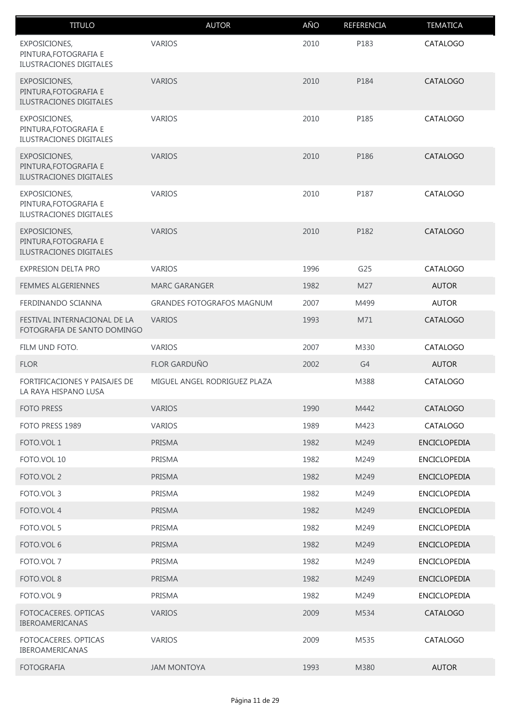| <b>TITULO</b>                                                            | <b>AUTOR</b>                     | AÑO  | REFERENCIA | <b>TEMATICA</b>     |
|--------------------------------------------------------------------------|----------------------------------|------|------------|---------------------|
| <b>EXPOSICIONES,</b><br>PINTURA, FOTOGRAFIA E<br>ILUSTRACIONES DIGITALES | <b>VARIOS</b>                    | 2010 | P183       | CATALOGO            |
| EXPOSICIONES,<br>PINTURA, FOTOGRAFIA E<br>ILUSTRACIONES DIGITALES        | <b>VARIOS</b>                    | 2010 | P184       | CATALOGO            |
| EXPOSICIONES,<br>PINTURA, FOTOGRAFIA E<br>ILUSTRACIONES DIGITALES        | <b>VARIOS</b>                    | 2010 | P185       | CATALOGO            |
| <b>EXPOSICIONES,</b><br>PINTURA, FOTOGRAFIA E<br>ILUSTRACIONES DIGITALES | <b>VARIOS</b>                    | 2010 | P186       | CATALOGO            |
| EXPOSICIONES,<br>PINTURA, FOTOGRAFIA E<br><b>ILUSTRACIONES DIGITALES</b> | <b>VARIOS</b>                    | 2010 | P187       | CATALOGO            |
| EXPOSICIONES,<br>PINTURA, FOTOGRAFIA E<br><b>ILUSTRACIONES DIGITALES</b> | <b>VARIOS</b>                    | 2010 | P182       | CATALOGO            |
| EXPRESION DELTA PRO                                                      | <b>VARIOS</b>                    | 1996 | G25        | CATALOGO            |
| <b>FEMMES ALGERIENNES</b>                                                | <b>MARC GARANGER</b>             | 1982 | M27        | <b>AUTOR</b>        |
| FERDINANDO SCIANNA                                                       | <b>GRANDES FOTOGRAFOS MAGNUM</b> | 2007 | M499       | <b>AUTOR</b>        |
| FESTIVAL INTERNACIONAL DE LA<br>FOTOGRAFIA DE SANTO DOMINGO              | <b>VARIOS</b>                    | 1993 | M71        | CATALOGO            |
| FILM UND FOTO.                                                           | <b>VARIOS</b>                    | 2007 | M330       | CATALOGO            |
| <b>FLOR</b>                                                              | <b>FLOR GARDUÑO</b>              | 2002 | G4         | <b>AUTOR</b>        |
| FORTIFICACIONES Y PAISAJES DE<br>LA RAYA HISPANO LUSA                    | MIGUEL ANGEL RODRIGUEZ PLAZA     |      | M388       | CATALOGO            |
| <b>FOTO PRESS</b>                                                        | <b>VARIOS</b>                    | 1990 | M442       | CATALOGO            |
| FOTO PRESS 1989                                                          | <b>VARIOS</b>                    | 1989 | M423       | CATALOGO            |
| FOTO.VOL 1                                                               | PRISMA                           | 1982 | M249       | ENCICLOPEDIA        |
| FOTO.VOL 10                                                              | PRISMA                           | 1982 | M249       | <b>ENCICLOPEDIA</b> |
| FOTO.VOL 2                                                               | PRISMA                           | 1982 | M249       | <b>ENCICLOPEDIA</b> |
| FOTO.VOL 3                                                               | PRISMA                           | 1982 | M249       | <b>ENCICLOPEDIA</b> |
| FOTO.VOL 4                                                               | PRISMA                           | 1982 | M249       | <b>ENCICLOPEDIA</b> |
| FOTO.VOL 5                                                               | PRISMA                           | 1982 | M249       | <b>ENCICLOPEDIA</b> |
| FOTO.VOL 6                                                               | PRISMA                           | 1982 | M249       | <b>ENCICLOPEDIA</b> |
| FOTO.VOL 7                                                               | PRISMA                           | 1982 | M249       | <b>ENCICLOPEDIA</b> |
| FOTO.VOL 8                                                               | PRISMA                           | 1982 | M249       | <b>ENCICLOPEDIA</b> |
| FOTO.VOL 9                                                               | PRISMA                           | 1982 | M249       | ENCICLOPEDIA        |
| FOTOCACERES. OPTICAS<br><b>IBEROAMERICANAS</b>                           | <b>VARIOS</b>                    | 2009 | M534       | <b>CATALOGO</b>     |
| FOTOCACERES, OPTICAS<br><b>IBEROAMERICANAS</b>                           | <b>VARIOS</b>                    | 2009 | M535       | CATALOGO            |
| <b>FOTOGRAFIA</b>                                                        | <b>JAM MONTOYA</b>               | 1993 | M380       | <b>AUTOR</b>        |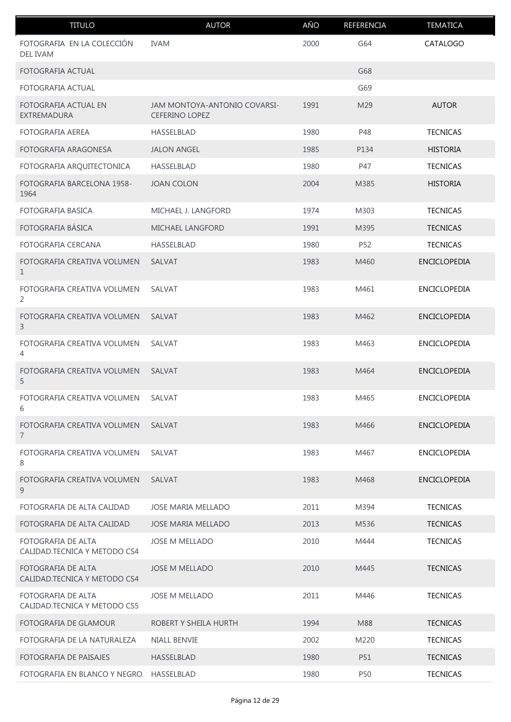| <b>TITULO</b>                                      | <b>AUTOR</b>                                          | AÑO  | REFERENCIA | <b>TEMATICA</b>     |
|----------------------------------------------------|-------------------------------------------------------|------|------------|---------------------|
| FOTOGRAFIA EN LA COLECCIÓN<br><b>DEL IVAM</b>      | <b>IVAM</b>                                           | 2000 | G64        | CATALOGO            |
| FOTOGRAFIA ACTUAL                                  |                                                       |      | G68        |                     |
| FOTOGRAFIA ACTUAL                                  |                                                       |      | G69        |                     |
| FOTOGRAFIA ACTUAL EN<br>EXTREMADURA                | JAM MONTOYA-ANTONIO COVARSI-<br><b>CEFERINO LOPEZ</b> | 1991 | M29        | <b>AUTOR</b>        |
| <b>FOTOGRAFIA AEREA</b>                            | HASSELBLAD                                            | 1980 | P48        | <b>TECNICAS</b>     |
| FOTOGRAFIA ARAGONESA                               | <b>JALON ANGEL</b>                                    | 1985 | P134       | <b>HISTORIA</b>     |
| FOTOGRAFIA ARQUITECTONICA                          | HASSELBLAD                                            | 1980 | P47        | <b>TECNICAS</b>     |
| FOTOGRAFIA BARCELONA 1958-<br>1964                 | <b>JOAN COLON</b>                                     | 2004 | M385       | <b>HISTORIA</b>     |
| <b>FOTOGRAFIA BASICA</b>                           | MICHAEL J. LANGFORD                                   | 1974 | M303       | <b>TECNICAS</b>     |
| FOTOGRAFIA BÁSICA                                  | <b>MICHAEL LANGFORD</b>                               | 1991 | M395       | <b>TECNICAS</b>     |
| FOTOGRAFIA CERCANA                                 | HASSELBLAD                                            | 1980 | P52        | <b>TECNICAS</b>     |
| FOTOGRAFIA CREATIVA VOLUMEN<br>1                   | SALVAT                                                | 1983 | M460       | ENCICLOPEDIA        |
| FOTOGRAFIA CREATIVA VOLUMEN<br>2                   | SALVAT                                                | 1983 | M461       | ENCICLOPEDIA        |
| FOTOGRAFIA CREATIVA VOLUMEN<br>3                   | <b>SALVAT</b>                                         | 1983 | M462       | <b>ENCICLOPEDIA</b> |
| FOTOGRAFIA CREATIVA VOLUMEN<br>4                   | <b>SALVAT</b>                                         | 1983 | M463       | <b>ENCICLOPEDIA</b> |
| FOTOGRAFIA CREATIVA VOLUMEN<br>5                   | <b>SALVAT</b>                                         | 1983 | M464       | <b>ENCICLOPEDIA</b> |
| FOTOGRAFIA CREATIVA VOLUMEN<br>6                   | SALVAT                                                | 1983 | M465       | ENCICLOPEDIA        |
| FOTOGRAFIA CREATIVA VOLUMEN<br>$\overline{7}$      | <b>SALVAT</b>                                         | 1983 | M466       | <b>ENCICLOPEDIA</b> |
| FOTOGRAFIA CREATIVA VOLUMEN<br>8                   | SALVAT                                                | 1983 | M467       | <b>ENCICLOPEDIA</b> |
| FOTOGRAFIA CREATIVA VOLUMEN<br>9                   | <b>SALVAT</b>                                         | 1983 | M468       | <b>ENCICLOPEDIA</b> |
| FOTOGRAFIA DE ALTA CALIDAD                         | JOSE MARIA MELLADO                                    | 2011 | M394       | <b>TECNICAS</b>     |
| FOTOGRAFIA DE ALTA CALIDAD                         | <b>JOSE MARIA MELLADO</b>                             | 2013 | M536       | <b>TECNICAS</b>     |
| FOTOGRAFIA DE ALTA<br>CALIDAD.TECNICA Y METODO CS4 | JOSE M MELLADO                                        | 2010 | M444       | <b>TECNICAS</b>     |
| FOTOGRAFIA DE ALTA<br>CALIDAD.TECNICA Y METODO CS4 | <b>JOSE M MELLADO</b>                                 | 2010 | M445       | <b>TECNICAS</b>     |
| FOTOGRAFIA DE ALTA<br>CALIDAD.TECNICA Y METODO CS5 | <b>JOSE M MELLADO</b>                                 | 2011 | M446       | <b>TECNICAS</b>     |
| FOTOGRAFIA DE GLAMOUR                              | ROBERT Y SHEILA HURTH                                 | 1994 | M88        | <b>TECNICAS</b>     |
| FOTOGRAFIA DE LA NATURALEZA                        | <b>NIALL BENVIE</b>                                   | 2002 | M220       | <b>TECNICAS</b>     |
| FOTOGRAFIA DE PAISAJES                             | <b>HASSELBLAD</b>                                     | 1980 | P51        | <b>TECNICAS</b>     |
| FOTOGRAFIA EN BLANCO Y NEGRO                       | HASSELBLAD                                            | 1980 | P50        | <b>TECNICAS</b>     |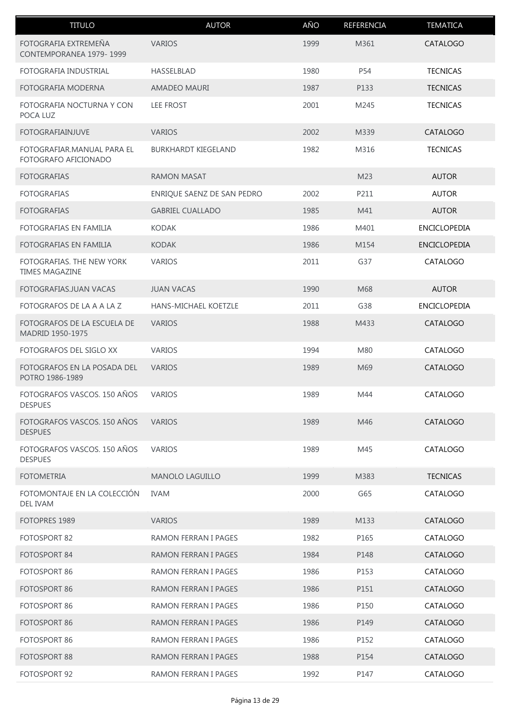| <b>TITULO</b>                                      | <b>AUTOR</b>                | AÑO  | REFERENCIA | <b>TEMATICA</b>     |
|----------------------------------------------------|-----------------------------|------|------------|---------------------|
| FOTOGRAFIA EXTREMEÑA<br>CONTEMPORANEA 1979-1999    | <b>VARIOS</b>               | 1999 | M361       | CATALOGO            |
| FOTOGRAFIA INDUSTRIAL                              | HASSELBLAD                  | 1980 | P54        | <b>TECNICAS</b>     |
| FOTOGRAFIA MODERNA                                 | AMADEO MAURI                | 1987 | P133       | <b>TECNICAS</b>     |
| FOTOGRAFIA NOCTURNA Y CON<br>POCA LUZ              | LEE FROST                   | 2001 | M245       | <b>TECNICAS</b>     |
| <b>FOTOGRAFIAINJUVE</b>                            | <b>VARIOS</b>               | 2002 | M339       | CATALOGO            |
| FOTOGRAFIAR.MANUAL PARA EL<br>FOTOGRAFO AFICIONADO | <b>BURKHARDT KIEGELAND</b>  | 1982 | M316       | <b>TECNICAS</b>     |
| <b>FOTOGRAFIAS</b>                                 | <b>RAMON MASAT</b>          |      | M23        | <b>AUTOR</b>        |
| <b>FOTOGRAFIAS</b>                                 | ENRIQUE SAENZ DE SAN PEDRO  | 2002 | P211       | <b>AUTOR</b>        |
| <b>FOTOGRAFIAS</b>                                 | <b>GABRIEL CUALLADO</b>     | 1985 | M41        | <b>AUTOR</b>        |
| FOTOGRAFIAS EN FAMILIA                             | <b>KODAK</b>                | 1986 | M401       | ENCICLOPEDIA        |
| FOTOGRAFIAS EN FAMILIA                             | <b>KODAK</b>                | 1986 | M154       | <b>ENCICLOPEDIA</b> |
| FOTOGRAFIAS. THE NEW YORK<br><b>TIMES MAGAZINE</b> | <b>VARIOS</b>               | 2011 | G37        | CATALOGO            |
| FOTOGRAFIAS.JUAN VACAS                             | <b>JUAN VACAS</b>           | 1990 | M68        | <b>AUTOR</b>        |
| FOTOGRAFOS DE LA A A LA Z                          | HANS-MICHAEL KOETZLE        | 2011 | G38        | <b>ENCICLOPEDIA</b> |
| FOTOGRAFOS DE LA ESCUELA DE<br>MADRID 1950-1975    | <b>VARIOS</b>               | 1988 | M433       | CATALOGO            |
| FOTOGRAFOS DEL SIGLO XX                            | <b>VARIOS</b>               | 1994 | M80        | CATALOGO            |
| FOTOGRAFOS EN LA POSADA DEL<br>POTRO 1986-1989     | <b>VARIOS</b>               | 1989 | M69        | CATALOGO            |
| FOTOGRAFOS VASCOS, 150 AÑOS<br><b>DESPUES</b>      | <b>VARIOS</b>               | 1989 | M44        | CATALOGO            |
| FOTOGRAFOS VASCOS. 150 AÑOS<br><b>DESPUES</b>      | <b>VARIOS</b>               | 1989 | M46        | CATALOGO            |
| FOTOGRAFOS VASCOS. 150 AÑOS<br><b>DESPUES</b>      | <b>VARIOS</b>               | 1989 | M45        | CATALOGO            |
| <b>FOTOMETRIA</b>                                  | <b>MANOLO LAGUILLO</b>      | 1999 | M383       | <b>TECNICAS</b>     |
| FOTOMONTAJE EN LA COLECCIÓN<br><b>DEL IVAM</b>     | <b>IVAM</b>                 | 2000 | G65        | CATALOGO            |
| FOTOPRES 1989                                      | <b>VARIOS</b>               | 1989 | M133       | CATALOGO            |
| FOTOSPORT 82                                       | RAMON FERRAN I PAGES        | 1982 | P165       | CATALOGO            |
| FOTOSPORT 84                                       | RAMON FERRAN I PAGES        | 1984 | P148       | CATALOGO            |
| FOTOSPORT 86                                       | RAMON FERRAN I PAGES        | 1986 | P153       | CATALOGO            |
| FOTOSPORT 86                                       | RAMON FERRAN I PAGES        | 1986 | P151       | CATALOGO            |
| FOTOSPORT 86                                       | <b>RAMON FERRAN I PAGES</b> | 1986 | P150       | CATALOGO            |
| FOTOSPORT 86                                       | RAMON FERRAN I PAGES        | 1986 | P149       | CATALOGO            |
| FOTOSPORT 86                                       | RAMON FERRAN I PAGES        | 1986 | P152       | CATALOGO            |
| FOTOSPORT 88                                       | RAMON FERRAN I PAGES        | 1988 | P154       | CATALOGO            |
| FOTOSPORT 92                                       | RAMON FERRAN I PAGES        | 1992 | P147       | CATALOGO            |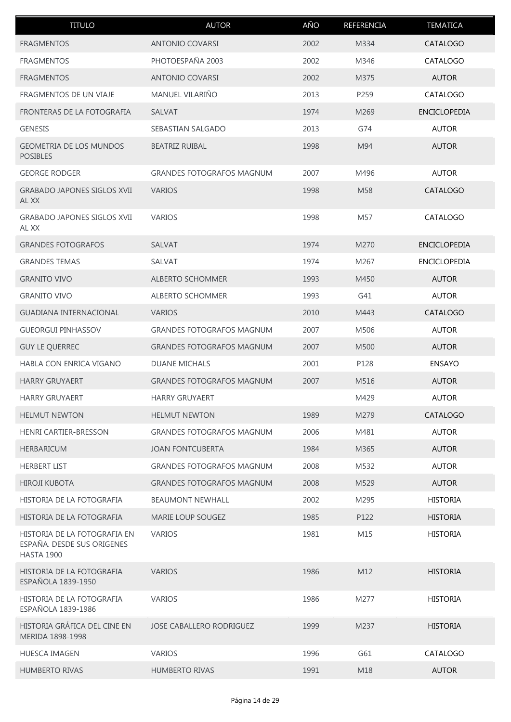| <b>TITULO</b>                                                                   | <b>AUTOR</b>                     | AÑO  | REFERENCIA | <b>TEMATICA</b>     |
|---------------------------------------------------------------------------------|----------------------------------|------|------------|---------------------|
| <b>FRAGMENTOS</b>                                                               | <b>ANTONIO COVARSI</b>           | 2002 | M334       | CATALOGO            |
| <b>FRAGMENTOS</b>                                                               | PHOTOESPAÑA 2003                 | 2002 | M346       | CATALOGO            |
| <b>FRAGMENTOS</b>                                                               | <b>ANTONIO COVARSI</b>           | 2002 | M375       | <b>AUTOR</b>        |
| <b>FRAGMENTOS DE UN VIAJE</b>                                                   | MANUEL VILARIÑO                  | 2013 | P259       | CATALOGO            |
| FRONTERAS DE LA FOTOGRAFIA                                                      | <b>SALVAT</b>                    | 1974 | M269       | <b>ENCICLOPEDIA</b> |
| <b>GENESIS</b>                                                                  | SEBASTIAN SALGADO                | 2013 | G74        | <b>AUTOR</b>        |
| <b>GEOMETRIA DE LOS MUNDOS</b><br><b>POSIBLES</b>                               | <b>BEATRIZ RUIBAL</b>            | 1998 | M94        | <b>AUTOR</b>        |
| <b>GEORGE RODGER</b>                                                            | <b>GRANDES FOTOGRAFOS MAGNUM</b> | 2007 | M496       | <b>AUTOR</b>        |
| <b>GRABADO JAPONES SIGLOS XVII</b><br>AL XX                                     | <b>VARIOS</b>                    | 1998 | M58        | CATALOGO            |
| GRABADO JAPONES SIGLOS XVII<br>AL XX                                            | <b>VARIOS</b>                    | 1998 | M57        | CATALOGO            |
| <b>GRANDES FOTOGRAFOS</b>                                                       | SALVAT                           | 1974 | M270       | <b>ENCICLOPEDIA</b> |
| <b>GRANDES TEMAS</b>                                                            | SALVAT                           | 1974 | M267       | <b>ENCICLOPEDIA</b> |
| <b>GRANITO VIVO</b>                                                             | <b>ALBERTO SCHOMMER</b>          | 1993 | M450       | <b>AUTOR</b>        |
| <b>GRANITO VIVO</b>                                                             | ALBERTO SCHOMMER                 | 1993 | G41        | <b>AUTOR</b>        |
| GUADIANA INTERNACIONAL                                                          | <b>VARIOS</b>                    | 2010 | M443       | CATALOGO            |
| <b>GUEORGUI PINHASSOV</b>                                                       | <b>GRANDES FOTOGRAFOS MAGNUM</b> | 2007 | M506       | <b>AUTOR</b>        |
| <b>GUY LE QUERREC</b>                                                           | <b>GRANDES FOTOGRAFOS MAGNUM</b> | 2007 | M500       | <b>AUTOR</b>        |
| HABLA CON ENRICA VIGANO                                                         | <b>DUANE MICHALS</b>             | 2001 | P128       | <b>ENSAYO</b>       |
| <b>HARRY GRUYAERT</b>                                                           | <b>GRANDES FOTOGRAFOS MAGNUM</b> | 2007 | M516       | <b>AUTOR</b>        |
| <b>HARRY GRUYAERT</b>                                                           | <b>HARRY GRUYAERT</b>            |      | M429       | <b>AUTOR</b>        |
| <b>HELMUT NEWTON</b>                                                            | <b>HELMUT NEWTON</b>             | 1989 | M279       | CATALOGO            |
| <b>HENRI CARTIER-BRESSON</b>                                                    | <b>GRANDES FOTOGRAFOS MAGNUM</b> | 2006 | M481       | <b>AUTOR</b>        |
| <b>HERBARICUM</b>                                                               | <b>JOAN FONTCUBERTA</b>          | 1984 | M365       | <b>AUTOR</b>        |
| <b>HERBERT LIST</b>                                                             | <b>GRANDES FOTOGRAFOS MAGNUM</b> | 2008 | M532       | <b>AUTOR</b>        |
| <b>HIROJI KUBOTA</b>                                                            | <b>GRANDES FOTOGRAFOS MAGNUM</b> | 2008 | M529       | <b>AUTOR</b>        |
| HISTORIA DE LA FOTOGRAFIA                                                       | <b>BEAUMONT NEWHALL</b>          | 2002 | M295       | <b>HISTORIA</b>     |
| HISTORIA DE LA FOTOGRAFIA                                                       | <b>MARIE LOUP SOUGEZ</b>         | 1985 | P122       | <b>HISTORIA</b>     |
| HISTORIA DE LA FOTOGRAFIA EN<br>ESPAÑA. DESDE SUS ORIGENES<br><b>HASTA 1900</b> | <b>VARIOS</b>                    | 1981 | M15        | <b>HISTORIA</b>     |
| HISTORIA DE LA FOTOGRAFIA<br>ESPAÑOLA 1839-1950                                 | <b>VARIOS</b>                    | 1986 | M12        | <b>HISTORIA</b>     |
| HISTORIA DE LA FOTOGRAFIA<br>ESPAÑOLA 1839-1986                                 | <b>VARIOS</b>                    | 1986 | M277       | <b>HISTORIA</b>     |
| HISTORIA GRÁFICA DEL CINE EN<br>MERIDA 1898-1998                                | JOSE CABALLERO RODRIGUEZ         | 1999 | M237       | <b>HISTORIA</b>     |
| <b>HUESCA IMAGEN</b>                                                            | <b>VARIOS</b>                    | 1996 | G61        | CATALOGO            |
| <b>HUMBERTO RIVAS</b>                                                           | <b>HUMBERTO RIVAS</b>            | 1991 | M18        | <b>AUTOR</b>        |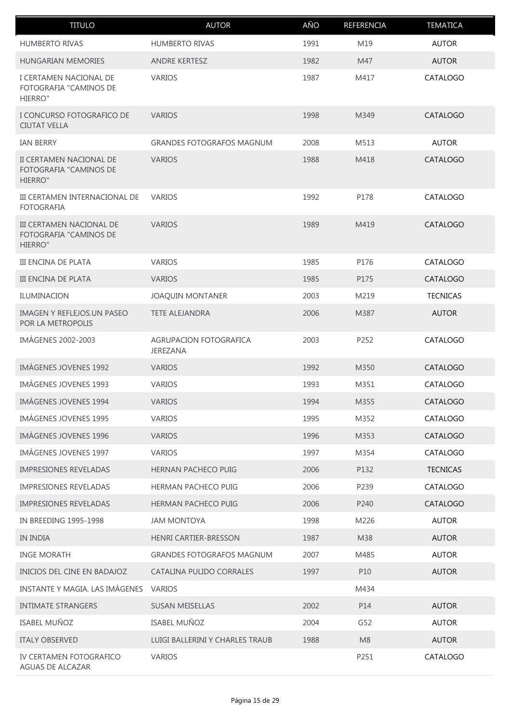| <b>TITULO</b>                                                 | <b>AUTOR</b>                       | AÑO  | REFERENCIA     | <b>TEMATICA</b> |
|---------------------------------------------------------------|------------------------------------|------|----------------|-----------------|
| <b>HUMBERTO RIVAS</b>                                         | <b>HUMBERTO RIVAS</b>              | 1991 | M19            | <b>AUTOR</b>    |
| <b>HUNGARIAN MEMORIES</b>                                     | <b>ANDRE KERTESZ</b>               | 1982 | M47            | <b>AUTOR</b>    |
| I CERTAMEN NACIONAL DE<br>FOTOGRAFIA "CAMINOS DE<br>HIERRO"   | <b>VARIOS</b>                      | 1987 | M417           | CATALOGO        |
| I CONCURSO FOTOGRAFICO DE<br><b>CIUTAT VELLA</b>              | <b>VARIOS</b>                      | 1998 | M349           | <b>CATALOGO</b> |
| <b>IAN BERRY</b>                                              | <b>GRANDES FOTOGRAFOS MAGNUM</b>   | 2008 | M513           | <b>AUTOR</b>    |
| II CERTAMEN NACIONAL DE<br>FOTOGRAFIA "CAMINOS DE<br>HIERRO"  | <b>VARIOS</b>                      | 1988 | M418           | CATALOGO        |
| III CERTAMEN INTERNACIONAL DE<br><b>FOTOGRAFIA</b>            | <b>VARIOS</b>                      | 1992 | P178           | CATALOGO        |
| III CERTAMEN NACIONAL DE<br>FOTOGRAFIA "CAMINOS DE<br>HIERRO" | <b>VARIOS</b>                      | 1989 | M419           | CATALOGO        |
| <b>III ENCINA DE PLATA</b>                                    | <b>VARIOS</b>                      | 1985 | P176           | CATALOGO        |
| <b>III ENCINA DE PLATA</b>                                    | <b>VARIOS</b>                      | 1985 | P175           | <b>CATALOGO</b> |
| ILUMINACION                                                   | <b>JOAQUIN MONTANER</b>            | 2003 | M219           | <b>TECNICAS</b> |
| IMAGEN Y REFLEJOS.UN PASEO<br>POR LA METROPOLIS               | <b>TETE ALEJANDRA</b>              | 2006 | M387           | <b>AUTOR</b>    |
| <b>IMÁGENES 2002-2003</b>                                     | AGRUPACION FOTOGRAFICA<br>JEREZANA | 2003 | P252           | CATALOGO        |
| <b>IMÁGENES JOVENES 1992</b>                                  | <b>VARIOS</b>                      | 1992 | M350           | CATALOGO        |
| <b>IMÁGENES JOVENES 1993</b>                                  | <b>VARIOS</b>                      | 1993 | M351           | CATALOGO        |
| IMÁGENES JOVENES 1994                                         | <b>VARIOS</b>                      | 1994 | M355           | CATALOGO        |
| <b>IMÁGENES JOVENES 1995</b>                                  | <b>VARIOS</b>                      | 1995 | M352           | CATALOGO        |
| <b>IMÁGENES JOVENES 1996</b>                                  | <b>VARIOS</b>                      | 1996 | M353           | CATALOGO        |
| <b>IMÁGENES JOVENES 1997</b>                                  | <b>VARIOS</b>                      | 1997 | M354           | CATALOGO        |
| <b>IMPRESIONES REVELADAS</b>                                  | HERNAN PACHECO PUIG                | 2006 | P132           | <b>TECNICAS</b> |
| <b>IMPRESIONES REVELADAS</b>                                  | <b>HERMAN PACHECO PUIG</b>         | 2006 | P239           | CATALOGO        |
| <b>IMPRESIONES REVELADAS</b>                                  | HERMAN PACHECO PUIG                | 2006 | P240           | CATALOGO        |
| IN BREEDING 1995-1998                                         | <b>JAM MONTOYA</b>                 | 1998 | M226           | <b>AUTOR</b>    |
| <b>IN INDIA</b>                                               | <b>HENRI CARTIER-BRESSON</b>       | 1987 | M38            | <b>AUTOR</b>    |
| <b>INGE MORATH</b>                                            | <b>GRANDES FOTOGRAFOS MAGNUM</b>   | 2007 | M485           | <b>AUTOR</b>    |
| INICIOS DEL CINE EN BADAJOZ                                   | CATALINA PULIDO CORRALES           | 1997 | P10            | <b>AUTOR</b>    |
| INSTANTE Y MAGIA. LAS IMÁGENES                                | <b>VARIOS</b>                      |      | M434           |                 |
| <b>INTIMATE STRANGERS</b>                                     | <b>SUSAN MEISELLAS</b>             | 2002 | P14            | <b>AUTOR</b>    |
| <b>ISABEL MUÑOZ</b>                                           | ISABEL MUÑOZ                       | 2004 | G52            | <b>AUTOR</b>    |
| <b>ITALY OBSERVED</b>                                         | LUIGI BALLERINI Y CHARLES TRAUB    | 1988 | M <sub>8</sub> | <b>AUTOR</b>    |
| IV CERTAMEN FOTOGRAFICO<br>AGUAS DE ALCAZAR                   | <b>VARIOS</b>                      |      | P251           | CATALOGO        |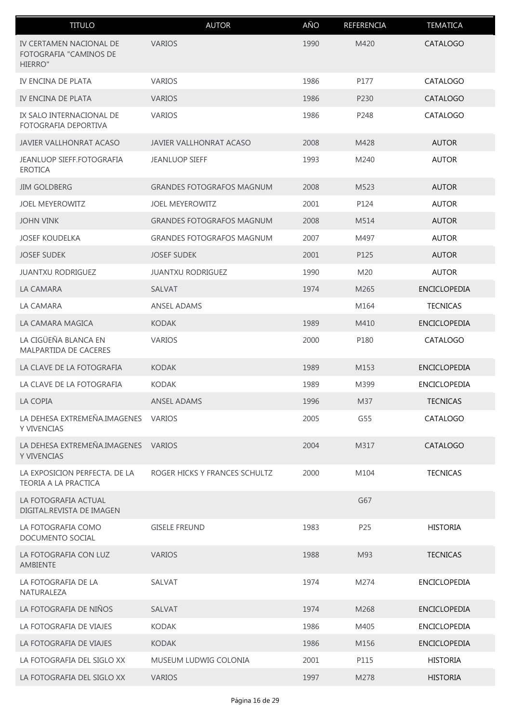| <b>TITULO</b>                                                | <b>AUTOR</b>                     | AÑO  | REFERENCIA       | <b>TEMATICA</b>     |
|--------------------------------------------------------------|----------------------------------|------|------------------|---------------------|
| IV CERTAMEN NACIONAL DE<br>FOTOGRAFIA "CAMINOS DE<br>HIERRO" | <b>VARIOS</b>                    | 1990 | M420             | <b>CATALOGO</b>     |
| IV ENCINA DE PLATA                                           | <b>VARIOS</b>                    | 1986 | P177             | CATALOGO            |
| IV ENCINA DE PLATA                                           | <b>VARIOS</b>                    | 1986 | P230             | CATALOGO            |
| IX SALO INTERNACIONAL DE<br>FOTOGRAFIA DEPORTIVA             | <b>VARIOS</b>                    | 1986 | P248             | CATALOGO            |
| <b>JAVIER VALLHONRAT ACASO</b>                               | <b>JAVIER VALLHONRAT ACASO</b>   | 2008 | M428             | <b>AUTOR</b>        |
| JEANLUOP SIEFF.FOTOGRAFIA<br><b>EROTICA</b>                  | <b>JEANLUOP SIEFF</b>            | 1993 | M240             | <b>AUTOR</b>        |
| <b>JIM GOLDBERG</b>                                          | <b>GRANDES FOTOGRAFOS MAGNUM</b> | 2008 | M523             | <b>AUTOR</b>        |
| <b>JOEL MEYEROWITZ</b>                                       | <b>JOEL MEYEROWITZ</b>           | 2001 | P124             | <b>AUTOR</b>        |
| <b>JOHN VINK</b>                                             | <b>GRANDES FOTOGRAFOS MAGNUM</b> | 2008 | M514             | <b>AUTOR</b>        |
| <b>JOSEF KOUDELKA</b>                                        | <b>GRANDES FOTOGRAFOS MAGNUM</b> | 2007 | M497             | <b>AUTOR</b>        |
| <b>JOSEF SUDEK</b>                                           | <b>JOSEF SUDEK</b>               | 2001 | P125             | <b>AUTOR</b>        |
| <b>JUANTXU RODRIGUEZ</b>                                     | <b>JUANTXU RODRIGUEZ</b>         | 1990 | M20              | <b>AUTOR</b>        |
| LA CAMARA                                                    | <b>SALVAT</b>                    | 1974 | M <sub>265</sub> | <b>ENCICLOPEDIA</b> |
| LA CAMARA                                                    | <b>ANSEL ADAMS</b>               |      | M164             | <b>TECNICAS</b>     |
| LA CAMARA MAGICA                                             | <b>KODAK</b>                     | 1989 | M410             | <b>ENCICLOPEDIA</b> |
| LA CIGÜEÑA BLANCA EN<br>MALPARTIDA DE CACERES                | <b>VARIOS</b>                    | 2000 | P180             | CATALOGO            |
| LA CLAVE DE LA FOTOGRAFIA                                    | <b>KODAK</b>                     | 1989 | M153             | <b>ENCICLOPEDIA</b> |
| LA CLAVE DE LA FOTOGRAFIA                                    | <b>KODAK</b>                     | 1989 | M399             | ENCICLOPEDIA        |
| LA COPIA                                                     | ANSEL ADAMS                      | 1996 | M37              | <b>TECNICAS</b>     |
| LA DEHESA EXTREMEÑA.IMAGENES<br>Y VIVENCIAS                  | <b>VARIOS</b>                    | 2005 | G55              | CATALOGO            |
| LA DEHESA EXTREMEÑA.IMAGENES VARIOS<br>Y VIVENCIAS           |                                  | 2004 | M317             | CATALOGO            |
| LA EXPOSICION PERFECTA. DE LA<br>TEORIA A LA PRACTICA        | ROGER HICKS Y FRANCES SCHULTZ    | 2000 | M104             | <b>TECNICAS</b>     |
| LA FOTOGRAFIA ACTUAL<br>DIGITAL.REVISTA DE IMAGEN            |                                  |      | G67              |                     |
| LA FOTOGRAFIA COMO<br>DOCUMENTO SOCIAL                       | <b>GISELE FREUND</b>             | 1983 | P25              | <b>HISTORIA</b>     |
| LA FOTOGRAFIA CON LUZ<br>AMBIENTE                            | <b>VARIOS</b>                    | 1988 | M93              | <b>TECNICAS</b>     |
| LA FOTOGRAFIA DE LA<br>NATURALEZA                            | SALVAT                           | 1974 | M274             | <b>ENCICLOPEDIA</b> |
| LA FOTOGRAFIA DE NIÑOS                                       | <b>SALVAT</b>                    | 1974 | M268             | <b>ENCICLOPEDIA</b> |
| LA FOTOGRAFIA DE VIAJES                                      | <b>KODAK</b>                     | 1986 | M405             | <b>ENCICLOPEDIA</b> |
| LA FOTOGRAFIA DE VIAJES                                      | <b>KODAK</b>                     | 1986 | M156             | <b>ENCICLOPEDIA</b> |
| LA FOTOGRAFIA DEL SIGLO XX                                   | MUSEUM LUDWIG COLONIA            | 2001 | P115             | <b>HISTORIA</b>     |
| LA FOTOGRAFIA DEL SIGLO XX                                   | <b>VARIOS</b>                    | 1997 | M278             | <b>HISTORIA</b>     |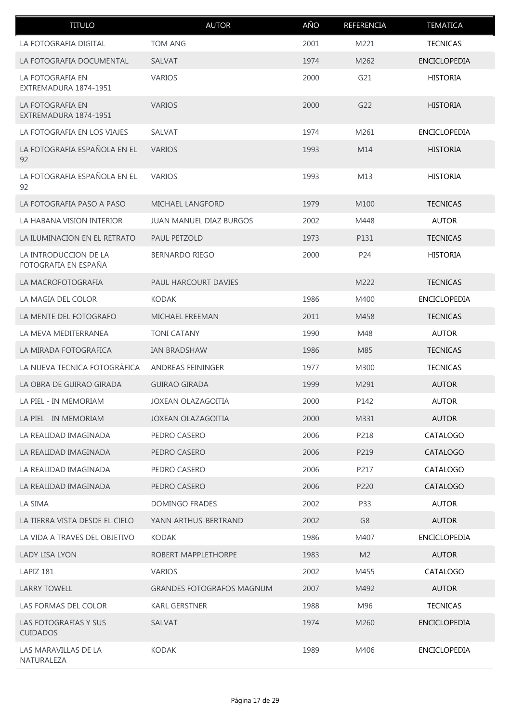| <b>TITULO</b>                                 | <b>AUTOR</b>                     | AÑO  | REFERENCIA     | <b>TEMATICA</b>     |
|-----------------------------------------------|----------------------------------|------|----------------|---------------------|
| LA FOTOGRAFIA DIGITAL                         | <b>TOM ANG</b>                   | 2001 | M221           | <b>TECNICAS</b>     |
| LA FOTOGRAFIA DOCUMENTAL                      | <b>SALVAT</b>                    | 1974 | M262           | <b>ENCICLOPEDIA</b> |
| LA FOTOGRAFIA EN<br>EXTREMADURA 1874-1951     | <b>VARIOS</b>                    | 2000 | G21            | <b>HISTORIA</b>     |
| LA FOTOGRAFIA EN<br>EXTREMADURA 1874-1951     | <b>VARIOS</b>                    | 2000 | G22            | <b>HISTORIA</b>     |
| LA FOTOGRAFIA EN LOS VIAJES                   | SALVAT                           | 1974 | M261           | <b>ENCICLOPEDIA</b> |
| LA FOTOGRAFIA ESPAÑOLA EN EL<br>92            | <b>VARIOS</b>                    | 1993 | M14            | <b>HISTORIA</b>     |
| LA FOTOGRAFIA ESPAÑOLA EN EL<br>92            | <b>VARIOS</b>                    | 1993 | M13            | <b>HISTORIA</b>     |
| LA FOTOGRAFIA PASO A PASO                     | MICHAEL LANGFORD                 | 1979 | M100           | <b>TECNICAS</b>     |
| LA HABANA. VISION INTERIOR                    | <b>JUAN MANUEL DIAZ BURGOS</b>   | 2002 | M448           | <b>AUTOR</b>        |
| LA ILUMINACION EN EL RETRATO                  | PAUL PETZOLD                     | 1973 | P131           | <b>TECNICAS</b>     |
| LA INTRODUCCION DE LA<br>FOTOGRAFIA EN ESPAÑA | <b>BERNARDO RIEGO</b>            | 2000 | P24            | <b>HISTORIA</b>     |
| LA MACROFOTOGRAFIA                            | PAUL HARCOURT DAVIES             |      | M222           | <b>TECNICAS</b>     |
| LA MAGIA DEL COLOR                            | <b>KODAK</b>                     | 1986 | M400           | <b>ENCICLOPEDIA</b> |
| LA MENTE DEL FOTOGRAFO                        | <b>MICHAEL FREEMAN</b>           | 2011 | M458           | <b>TECNICAS</b>     |
| LA MEVA MEDITERRANEA                          | <b>TONI CATANY</b>               | 1990 | M48            | <b>AUTOR</b>        |
| LA MIRADA FOTOGRAFICA                         | IAN BRADSHAW                     | 1986 | M85            | <b>TECNICAS</b>     |
| LA NUEVA TECNICA FOTOGRÁFICA                  | <b>ANDREAS FEININGER</b>         | 1977 | M300           | <b>TECNICAS</b>     |
| LA OBRA DE GUIRAO GIRADA                      | <b>GUIRAO GIRADA</b>             | 1999 | M291           | <b>AUTOR</b>        |
| LA PIEL - IN MEMORIAM                         | JOXEAN OLAZAGOITIA               | 2000 | P142           | <b>AUTOR</b>        |
| LA PIEL - IN MEMORIAM                         | <b>JOXEAN OLAZAGOITIA</b>        | 2000 | M331           | <b>AUTOR</b>        |
| LA REALIDAD IMAGINADA                         | PEDRO CASERO                     | 2006 | P218           | CATALOGO            |
| LA REALIDAD IMAGINADA                         | PEDRO CASERO                     | 2006 | P219           | CATALOGO            |
| LA REALIDAD IMAGINADA                         | PEDRO CASERO                     | 2006 | P217           | CATALOGO            |
| LA REALIDAD IMAGINADA                         | PEDRO CASERO                     | 2006 | P220           | CATALOGO            |
| LA SIMA                                       | DOMINGO FRADES                   | 2002 | P33            | <b>AUTOR</b>        |
| LA TIERRA VISTA DESDE EL CIELO                | YANN ARTHUS-BERTRAND             | 2002 | G8             | <b>AUTOR</b>        |
| LA VIDA A TRAVES DEL OBJETIVO                 | <b>KODAK</b>                     | 1986 | M407           | ENCICLOPEDIA        |
| <b>LADY LISA LYON</b>                         | ROBERT MAPPLETHORPE              | 1983 | M <sub>2</sub> | <b>AUTOR</b>        |
| LAPIZ 181                                     | <b>VARIOS</b>                    | 2002 | M455           | CATALOGO            |
| <b>LARRY TOWELL</b>                           | <b>GRANDES FOTOGRAFOS MAGNUM</b> | 2007 | M492           | <b>AUTOR</b>        |
| LAS FORMAS DEL COLOR                          | <b>KARL GERSTNER</b>             | 1988 | M96            | <b>TECNICAS</b>     |
| LAS FOTOGRAFIAS Y SUS<br><b>CUIDADOS</b>      | SALVAT                           | 1974 | M260           | <b>ENCICLOPEDIA</b> |
| LAS MARAVILLAS DE LA<br>NATURALEZA            | <b>KODAK</b>                     | 1989 | M406           | ENCICLOPEDIA        |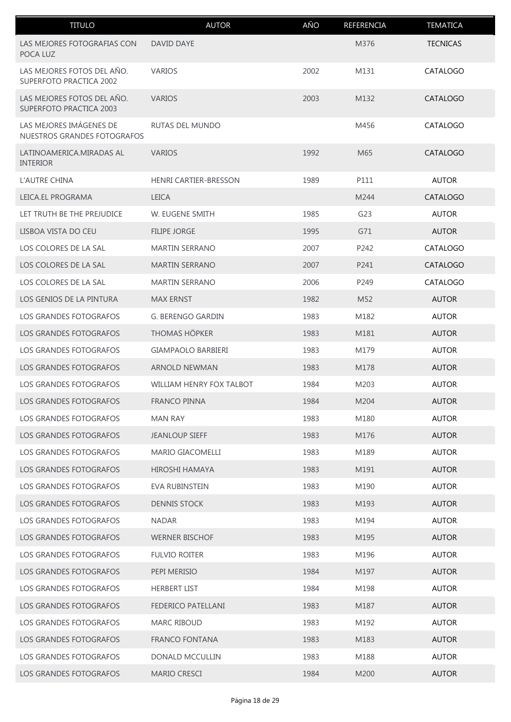| <b>TITULO</b>                                          | <b>AUTOR</b>                    | AÑO  | REFERENCIA      | <b>TEMATICA</b> |
|--------------------------------------------------------|---------------------------------|------|-----------------|-----------------|
| LAS MEJORES FOTOGRAFIAS CON<br>POCA LUZ                | DAVID DAYE                      |      | M376            | <b>TECNICAS</b> |
| LAS MEJORES FOTOS DEL AÑO.<br>SUPERFOTO PRACTICA 2002  | <b>VARIOS</b>                   | 2002 | M131            | CATALOGO        |
| LAS MEJORES FOTOS DEL AÑO.<br>SUPERFOTO PRACTICA 2003  | <b>VARIOS</b>                   | 2003 | M132            | CATALOGO        |
| LAS MEJORES IMÁGENES DE<br>NUESTROS GRANDES FOTOGRAFOS | RUTAS DEL MUNDO                 |      | M456            | CATALOGO        |
| LATINOAMERICA.MIRADAS AL<br><b>INTERIOR</b>            | <b>VARIOS</b>                   | 1992 | M65             | CATALOGO        |
| L'AUTRE CHINA                                          | HENRI CARTIER-BRESSON           | 1989 | P111            | <b>AUTOR</b>    |
| LEICA.EL PROGRAMA                                      | <b>LEICA</b>                    |      | M244            | <b>CATALOGO</b> |
| LET TRUTH BE THE PREJUDICE                             | W. EUGENE SMITH                 | 1985 | G23             | <b>AUTOR</b>    |
| LISBOA VISTA DO CEU                                    | <b>FILIPE JORGE</b>             | 1995 | G71             | <b>AUTOR</b>    |
| LOS COLORES DE LA SAL                                  | <b>MARTIN SERRANO</b>           | 2007 | P242            | CATALOGO        |
| LOS COLORES DE LA SAL                                  | <b>MARTIN SERRANO</b>           | 2007 | P241            | CATALOGO        |
| LOS COLORES DE LA SAL                                  | <b>MARTIN SERRANO</b>           | 2006 | P249            | CATALOGO        |
| LOS GENIOS DE LA PINTURA                               | <b>MAX ERNST</b>                | 1982 | M <sub>52</sub> | <b>AUTOR</b>    |
| <b>LOS GRANDES FOTOGRAFOS</b>                          | <b>G. BERENGO GARDIN</b>        | 1983 | M182            | <b>AUTOR</b>    |
| LOS GRANDES FOTOGRAFOS                                 | <b>THOMAS HÖPKER</b>            | 1983 | M181            | <b>AUTOR</b>    |
| LOS GRANDES FOTOGRAFOS                                 | GIAMPAOLO BARBIERI              | 1983 | M179            | <b>AUTOR</b>    |
| LOS GRANDES FOTOGRAFOS                                 | <b>ARNOLD NEWMAN</b>            | 1983 | M178            | <b>AUTOR</b>    |
| <b>LOS GRANDES FOTOGRAFOS</b>                          | <b>WILLIAM HENRY FOX TALBOT</b> | 1984 | M203            | <b>AUTOR</b>    |
| LOS GRANDES FOTOGRAFOS                                 | <b>FRANCO PINNA</b>             | 1984 | M204            | <b>AUTOR</b>    |
| LOS GRANDES FOTOGRAFOS                                 | <b>MAN RAY</b>                  | 1983 | M180            | <b>AUTOR</b>    |
| <b>LOS GRANDES FOTOGRAFOS</b>                          | <b>JEANLOUP SIEFF</b>           | 1983 | M176            | <b>AUTOR</b>    |
| LOS GRANDES FOTOGRAFOS                                 | MARIO GIACOMELLI                | 1983 | M189            | <b>AUTOR</b>    |
| LOS GRANDES FOTOGRAFOS                                 | <b>HIROSHI HAMAYA</b>           | 1983 | M191            | <b>AUTOR</b>    |
| LOS GRANDES FOTOGRAFOS                                 | <b>EVA RUBINSTEIN</b>           | 1983 | M190            | <b>AUTOR</b>    |
| LOS GRANDES FOTOGRAFOS                                 | <b>DENNIS STOCK</b>             | 1983 | M193            | <b>AUTOR</b>    |
| LOS GRANDES FOTOGRAFOS                                 | <b>NADAR</b>                    | 1983 | M194            | <b>AUTOR</b>    |
| LOS GRANDES FOTOGRAFOS                                 | <b>WERNER BISCHOF</b>           | 1983 | M195            | <b>AUTOR</b>    |
| LOS GRANDES FOTOGRAFOS                                 | <b>FULVIO ROITER</b>            | 1983 | M196            | <b>AUTOR</b>    |
| LOS GRANDES FOTOGRAFOS                                 | PEPI MERISIO                    | 1984 | M197            | <b>AUTOR</b>    |
| LOS GRANDES FOTOGRAFOS                                 | <b>HERBERT LIST</b>             | 1984 | M198            | <b>AUTOR</b>    |
| LOS GRANDES FOTOGRAFOS                                 | FEDERICO PATELLANI              | 1983 | M187            | <b>AUTOR</b>    |
| LOS GRANDES FOTOGRAFOS                                 | <b>MARC RIBOUD</b>              | 1983 | M192            | <b>AUTOR</b>    |
| LOS GRANDES FOTOGRAFOS                                 | <b>FRANCO FONTANA</b>           | 1983 | M183            | <b>AUTOR</b>    |
| LOS GRANDES FOTOGRAFOS                                 | DONALD MCCULLIN                 | 1983 | M188            | <b>AUTOR</b>    |
| LOS GRANDES FOTOGRAFOS                                 | MARIO CRESCI                    | 1984 | M200            | <b>AUTOR</b>    |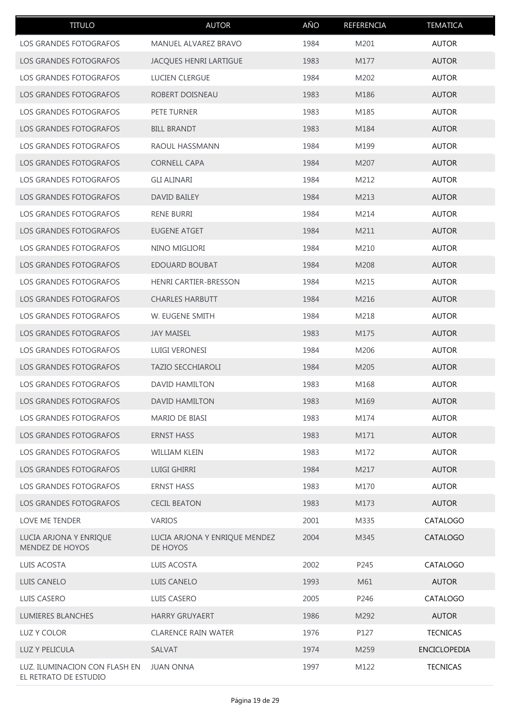| <b>TITULO</b>                                          | <b>AUTOR</b>                              | AÑO  | REFERENCIA       | <b>TEMATICA</b> |
|--------------------------------------------------------|-------------------------------------------|------|------------------|-----------------|
| LOS GRANDES FOTOGRAFOS                                 | MANUEL ALVAREZ BRAVO                      | 1984 | M201             | <b>AUTOR</b>    |
| LOS GRANDES FOTOGRAFOS                                 | JACQUES HENRI LARTIGUE                    | 1983 | M177             | <b>AUTOR</b>    |
| LOS GRANDES FOTOGRAFOS                                 | LUCIEN CLERGUE                            | 1984 | M202             | <b>AUTOR</b>    |
| LOS GRANDES FOTOGRAFOS                                 | ROBERT DOISNEAU                           | 1983 | M186             | <b>AUTOR</b>    |
| LOS GRANDES FOTOGRAFOS                                 | PETE TURNER                               | 1983 | M185             | <b>AUTOR</b>    |
| LOS GRANDES FOTOGRAFOS                                 | <b>BILL BRANDT</b>                        | 1983 | M184             | <b>AUTOR</b>    |
| LOS GRANDES FOTOGRAFOS                                 | RAOUL HASSMANN                            | 1984 | M199             | <b>AUTOR</b>    |
| LOS GRANDES FOTOGRAFOS                                 | <b>CORNELL CAPA</b>                       | 1984 | M207             | <b>AUTOR</b>    |
| LOS GRANDES FOTOGRAFOS                                 | <b>GLI ALINARI</b>                        | 1984 | M212             | <b>AUTOR</b>    |
| <b>LOS GRANDES FOTOGRAFOS</b>                          | <b>DAVID BAILEY</b>                       | 1984 | M213             | <b>AUTOR</b>    |
| LOS GRANDES FOTOGRAFOS                                 | <b>RENE BURRI</b>                         | 1984 | M214             | <b>AUTOR</b>    |
| LOS GRANDES FOTOGRAFOS                                 | <b>EUGENE ATGET</b>                       | 1984 | M211             | <b>AUTOR</b>    |
| LOS GRANDES FOTOGRAFOS                                 | NINO MIGLIORI                             | 1984 | M210             | <b>AUTOR</b>    |
| LOS GRANDES FOTOGRAFOS                                 | EDOUARD BOUBAT                            | 1984 | M208             | <b>AUTOR</b>    |
| LOS GRANDES FOTOGRAFOS                                 | <b>HENRI CARTIER-BRESSON</b>              | 1984 | M215             | <b>AUTOR</b>    |
| LOS GRANDES FOTOGRAFOS                                 | <b>CHARLES HARBUTT</b>                    | 1984 | M216             | <b>AUTOR</b>    |
| LOS GRANDES FOTOGRAFOS                                 | W. EUGENE SMITH                           | 1984 | M218             | <b>AUTOR</b>    |
| LOS GRANDES FOTOGRAFOS                                 | <b>JAY MAISEL</b>                         | 1983 | M175             | <b>AUTOR</b>    |
| LOS GRANDES FOTOGRAFOS                                 | <b>LUIGI VERONESI</b>                     | 1984 | M206             | <b>AUTOR</b>    |
| LOS GRANDES FOTOGRAFOS                                 | <b>TAZIO SECCHIAROLI</b>                  | 1984 | M205             | <b>AUTOR</b>    |
| LOS GRANDES FOTOGRAFOS                                 | <b>DAVID HAMILTON</b>                     | 1983 | M168             | <b>AUTOR</b>    |
| LOS GRANDES FOTOGRAFOS                                 | DAVID HAMILTON                            | 1983 | M <sub>169</sub> | <b>AUTOR</b>    |
| LOS GRANDES FOTOGRAFOS                                 | MARIO DE BIASI                            | 1983 | M174             | <b>AUTOR</b>    |
| LOS GRANDES FOTOGRAFOS                                 | <b>ERNST HASS</b>                         | 1983 | M171             | <b>AUTOR</b>    |
| LOS GRANDES FOTOGRAFOS                                 | WILLIAM KLEIN                             | 1983 | M172             | <b>AUTOR</b>    |
| LOS GRANDES FOTOGRAFOS                                 | LUIGI GHIRRI                              | 1984 | M217             | <b>AUTOR</b>    |
| LOS GRANDES FOTOGRAFOS                                 | <b>ERNST HASS</b>                         | 1983 | M170             | <b>AUTOR</b>    |
| LOS GRANDES FOTOGRAFOS                                 | <b>CECIL BEATON</b>                       | 1983 | M173             | <b>AUTOR</b>    |
| LOVE ME TENDER                                         | <b>VARIOS</b>                             | 2001 | M335             | CATALOGO        |
| LUCIA ARJONA Y ENRIQUE<br>MENDEZ DE HOYOS              | LUCIA ARJONA Y ENRIQUE MENDEZ<br>DE HOYOS | 2004 | M345             | CATALOGO        |
| LUIS ACOSTA                                            | LUIS ACOSTA                               | 2002 | P245             | CATALOGO        |
| LUIS CANELO                                            | LUIS CANELO                               | 1993 | M61              | <b>AUTOR</b>    |
| LUIS CASERO                                            | LUIS CASERO                               | 2005 | P246             | CATALOGO        |
| LUMIERES BLANCHES                                      | <b>HARRY GRUYAERT</b>                     | 1986 | M292             | <b>AUTOR</b>    |
| LUZ Y COLOR                                            | <b>CLARENCE RAIN WATER</b>                | 1976 | P127             | <b>TECNICAS</b> |
| LUZ Y PELICULA                                         | SALVAT                                    | 1974 | M259             | ENCICLOPEDIA    |
| LUZ. ILUMINACION CON FLASH EN<br>EL RETRATO DE ESTUDIO | <b>JUAN ONNA</b>                          | 1997 | M122             | <b>TECNICAS</b> |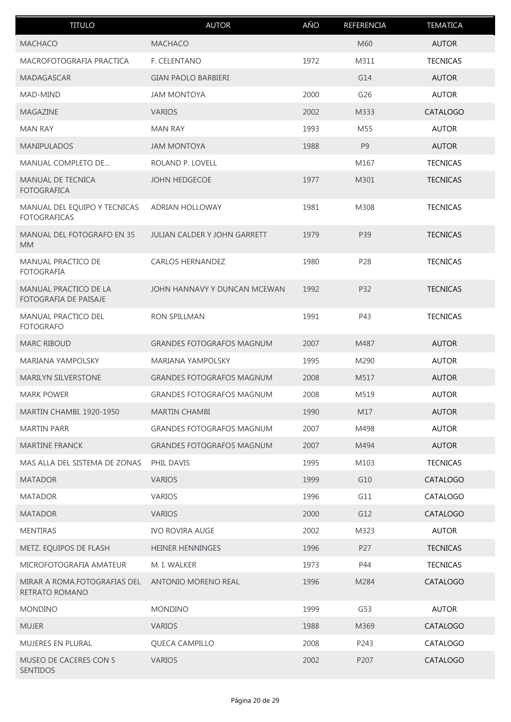| <b>TITULO</b>                                       | <b>AUTOR</b>                     | AÑO  | REFERENCIA     | <b>TEMATICA</b> |
|-----------------------------------------------------|----------------------------------|------|----------------|-----------------|
| <b>MACHACO</b>                                      | <b>MACHACO</b>                   |      | M60            | <b>AUTOR</b>    |
| MACROFOTOGRAFIA PRACTICA                            | F. CELENTANO                     | 1972 | M311           | <b>TECNICAS</b> |
| MADAGASCAR                                          | <b>GIAN PAOLO BARBIERI</b>       |      | G14            | <b>AUTOR</b>    |
| MAD-MIND                                            | <b>JAM MONTOYA</b>               | 2000 | G26            | <b>AUTOR</b>    |
| MAGAZINE                                            | <b>VARIOS</b>                    | 2002 | M333           | CATALOGO        |
| <b>MAN RAY</b>                                      | <b>MAN RAY</b>                   | 1993 | M55            | <b>AUTOR</b>    |
| <b>MANIPULADOS</b>                                  | <b>JAM MONTOYA</b>               | 1988 | P <sub>9</sub> | <b>AUTOR</b>    |
| <b>MANUAL COMPLETO DE</b>                           | ROLAND P. LOVELL                 |      | M167           | <b>TECNICAS</b> |
| <b>MANUAL DE TECNICA</b><br><b>FOTOGRAFICA</b>      | <b>JOHN HEDGECOE</b>             | 1977 | M301           | <b>TECNICAS</b> |
| MANUAL DEL EQUIPO Y TECNICAS<br><b>FOTOGRAFICAS</b> | <b>ADRIAN HOLLOWAY</b>           | 1981 | M308           | <b>TECNICAS</b> |
| MANUAL DEL FOTOGRAFO EN 35<br><b>MM</b>             | JULIAN CALDER Y JOHN GARRETT     | 1979 | P39            | <b>TECNICAS</b> |
| <b>MANUAL PRACTICO DE</b><br><b>FOTOGRAFIA</b>      | <b>CARLOS HERNANDEZ</b>          | 1980 | P28            | <b>TECNICAS</b> |
| MANUAL PRACTICO DE LA<br>FOTOGRAFIA DE PAISAJE      | JOHN HANNAVY Y DUNCAN MCEWAN     | 1992 | P32            | <b>TECNICAS</b> |
| MANUAL PRACTICO DEL<br><b>FOTOGRAFO</b>             | <b>RON SPILLMAN</b>              | 1991 | P43            | <b>TECNICAS</b> |
| <b>MARC RIBOUD</b>                                  | <b>GRANDES FOTOGRAFOS MAGNUM</b> | 2007 | M487           | <b>AUTOR</b>    |
| <b>MARIANA YAMPOLSKY</b>                            | <b>MARIANA YAMPOLSKY</b>         | 1995 | M290           | <b>AUTOR</b>    |
| <b>MARILYN SILVERSTONE</b>                          | <b>GRANDES FOTOGRAFOS MAGNUM</b> | 2008 | M517           | <b>AUTOR</b>    |
| <b>MARK POWER</b>                                   | <b>GRANDES FOTOGRAFOS MAGNUM</b> | 2008 | M519           | <b>AUTOR</b>    |
| <b>MARTIN CHAMBI. 1920-1950</b>                     | <b>MARTIN CHAMBI</b>             | 1990 | M17            | <b>AUTOR</b>    |
| <b>MARTIN PARR</b>                                  | <b>GRANDES FOTOGRAFOS MAGNUM</b> | 2007 | M498           | <b>AUTOR</b>    |
| <b>MARTINE FRANCK</b>                               | <b>GRANDES FOTOGRAFOS MAGNUM</b> | 2007 | M494           | <b>AUTOR</b>    |
| MAS ALLA DEL SISTEMA DE ZONAS                       | PHIL DAVIS                       | 1995 | M103           | <b>TECNICAS</b> |
| <b>MATADOR</b>                                      | <b>VARIOS</b>                    | 1999 | G10            | CATALOGO        |
| <b>MATADOR</b>                                      | <b>VARIOS</b>                    | 1996 | G11            | CATALOGO        |
| <b>MATADOR</b>                                      | <b>VARIOS</b>                    | 2000 | G12            | CATALOGO        |
| <b>MENTIRAS</b>                                     | <b>IVO ROVIRA AUGE</b>           | 2002 | M323           | <b>AUTOR</b>    |
| METZ. EQUIPOS DE FLASH                              | <b>HEINER HENNINGES</b>          | 1996 | P27            | <b>TECNICAS</b> |
| MICROFOTOGRAFIA AMATEUR                             | M. I. WALKER                     | 1973 | P44            | <b>TECNICAS</b> |
| MIRAR A ROMA.FOTOGRAFIAS DEL<br>RETRATO ROMANO      | ANTONIO MORENO REAL              | 1996 | M284           | <b>CATALOGO</b> |
| <b>MONDINO</b>                                      | <b>MONDINO</b>                   | 1999 | G53            | <b>AUTOR</b>    |
| <b>MUJER</b>                                        | VARIOS                           | 1988 | M369           | CATALOGO        |
| MUJERES EN PLURAL                                   | QUECA CAMPILLO                   | 2008 | P243           | CATALOGO        |
| <b>MUSEO DE CACERES CON 5</b><br>SENTIDOS           | <b>VARIOS</b>                    | 2002 | P207           | CATALOGO        |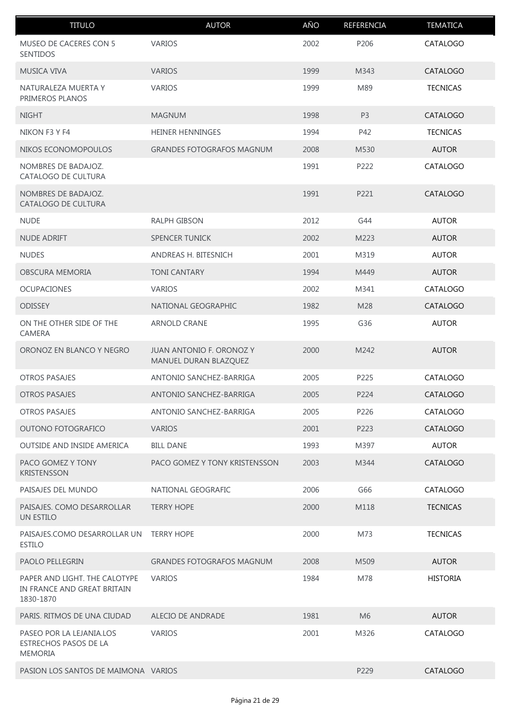| <b>TITULO</b>                                                             | <b>AUTOR</b>                                      | AÑO  | REFERENCIA     | <b>TEMATICA</b> |
|---------------------------------------------------------------------------|---------------------------------------------------|------|----------------|-----------------|
| MUSEO DE CACERES CON 5<br>SENTIDOS                                        | <b>VARIOS</b>                                     | 2002 | P206           | CATALOGO        |
| <b>MUSICA VIVA</b>                                                        | <b>VARIOS</b>                                     | 1999 | M343           | CATALOGO        |
| NATURALEZA MUERTA Y<br>PRIMEROS PLANOS                                    | <b>VARIOS</b>                                     | 1999 | M89            | <b>TECNICAS</b> |
| <b>NIGHT</b>                                                              | <b>MAGNUM</b>                                     | 1998 | P <sub>3</sub> | <b>CATALOGO</b> |
| NIKON F3 Y F4                                                             | <b>HEINER HENNINGES</b>                           | 1994 | P42            | <b>TECNICAS</b> |
| NIKOS ECONOMOPOULOS                                                       | <b>GRANDES FOTOGRAFOS MAGNUM</b>                  | 2008 | M530           | <b>AUTOR</b>    |
| NOMBRES DE BADAJOZ.<br>CATALOGO DE CULTURA                                |                                                   | 1991 | P222           | CATALOGO        |
| NOMBRES DE BADAJOZ.<br>CATALOGO DE CULTURA                                |                                                   | 1991 | P221           | CATALOGO        |
| <b>NUDE</b>                                                               | RALPH GIBSON                                      | 2012 | G44            | <b>AUTOR</b>    |
| <b>NUDE ADRIFT</b>                                                        | <b>SPENCER TUNICK</b>                             | 2002 | M223           | <b>AUTOR</b>    |
| <b>NUDES</b>                                                              | ANDREAS H. BITESNICH                              | 2001 | M319           | <b>AUTOR</b>    |
| OBSCURA MEMORIA                                                           | <b>TONI CANTARY</b>                               | 1994 | M449           | <b>AUTOR</b>    |
| <b>OCUPACIONES</b>                                                        | <b>VARIOS</b>                                     | 2002 | M341           | CATALOGO        |
| <b>ODISSEY</b>                                                            | NATIONAL GEOGRAPHIC                               | 1982 | M28            | CATALOGO        |
| ON THE OTHER SIDE OF THE<br>CAMERA                                        | ARNOLD CRANE                                      | 1995 | G36            | <b>AUTOR</b>    |
| ORONOZ EN BLANCO Y NEGRO                                                  | JUAN ANTONIO F. ORONOZ Y<br>MANUEL DURAN BLAZQUEZ | 2000 | M242           | <b>AUTOR</b>    |
| <b>OTROS PASAJES</b>                                                      | ANTONIO SANCHEZ-BARRIGA                           | 2005 | P225           | CATALOGO        |
| <b>OTROS PASAJES</b>                                                      | ANTONIO SANCHEZ-BARRIGA                           | 2005 | P224           | CATALOGO        |
| <b>OTROS PASAJES</b>                                                      | ANTONIO SANCHEZ-BARRIGA                           | 2005 | P226           | CATALOGO        |
| OUTONO FOTOGRAFICO                                                        | <b>VARIOS</b>                                     | 2001 | P223           | CATALOGO        |
| OUTSIDE AND INSIDE AMERICA                                                | <b>BILL DANE</b>                                  | 1993 | M397           | <b>AUTOR</b>    |
| PACO GOMEZ Y TONY<br><b>KRISTENSSON</b>                                   | PACO GOMEZ Y TONY KRISTENSSON                     | 2003 | M344           | <b>CATALOGO</b> |
| PAISAJES DEL MUNDO                                                        | NATIONAL GEOGRAFIC                                | 2006 | G66            | CATALOGO        |
| PAISAJES. COMO DESARROLLAR<br>UN ESTILO                                   | <b>TERRY HOPE</b>                                 | 2000 | M118           | <b>TECNICAS</b> |
| PAISAJES.COMO DESARROLLAR UN<br><b>ESTILO</b>                             | <b>TERRY HOPE</b>                                 | 2000 | M73            | <b>TECNICAS</b> |
| <b>PAOLO PELLEGRIN</b>                                                    | <b>GRANDES FOTOGRAFOS MAGNUM</b>                  | 2008 | M509           | <b>AUTOR</b>    |
| PAPER AND LIGHT. THE CALOTYPE<br>IN FRANCE AND GREAT BRITAIN<br>1830-1870 | <b>VARIOS</b>                                     | 1984 | M78            | <b>HISTORIA</b> |
| PARIS. RITMOS DE UNA CIUDAD                                               | ALECIO DE ANDRADE                                 | 1981 | M <sub>6</sub> | <b>AUTOR</b>    |
| PASEO POR LA LEJANIA.LOS<br>ESTRECHOS PASOS DE LA<br><b>MEMORIA</b>       | <b>VARIOS</b>                                     | 2001 | M326           | CATALOGO        |
| PASION LOS SANTOS DE MAIMONA VARIOS                                       |                                                   |      | P229           | <b>CATALOGO</b> |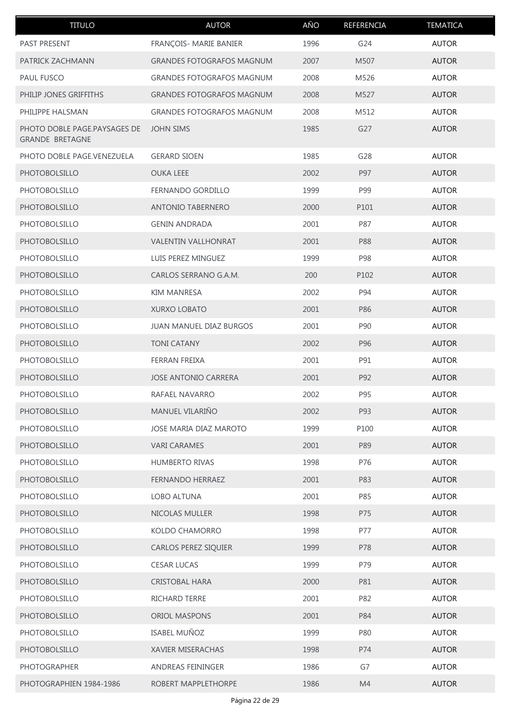| <b>TITULO</b>                                          | <b>AUTOR</b>                     | AÑO  | REFERENCIA | <b>TEMATICA</b> |
|--------------------------------------------------------|----------------------------------|------|------------|-----------------|
| PAST PRESENT                                           | FRANÇOIS- MARIE BANIER           | 1996 | G24        | <b>AUTOR</b>    |
| PATRICK ZACHMANN                                       | <b>GRANDES FOTOGRAFOS MAGNUM</b> | 2007 | M507       | <b>AUTOR</b>    |
| PAUL FUSCO                                             | <b>GRANDES FOTOGRAFOS MAGNUM</b> | 2008 | M526       | <b>AUTOR</b>    |
| PHILIP JONES GRIFFITHS                                 | <b>GRANDES FOTOGRAFOS MAGNUM</b> | 2008 | M527       | <b>AUTOR</b>    |
| PHILIPPE HALSMAN                                       | <b>GRANDES FOTOGRAFOS MAGNUM</b> | 2008 | M512       | <b>AUTOR</b>    |
| PHOTO DOBLE PAGE.PAYSAGES DE<br><b>GRANDE BRETAGNE</b> | <b>JOHN SIMS</b>                 | 1985 | G27        | <b>AUTOR</b>    |
| PHOTO DOBLE PAGE.VENEZUELA                             | <b>GERARD SIOEN</b>              | 1985 | G28        | <b>AUTOR</b>    |
| <b>PHOTOBOLSILLO</b>                                   | <b>OUKA LEEE</b>                 | 2002 | P97        | <b>AUTOR</b>    |
| PHOTOBOLSILLO                                          | FERNANDO GORDILLO                | 1999 | P99        | <b>AUTOR</b>    |
| <b>PHOTOBOLSILLO</b>                                   | <b>ANTONIO TABERNERO</b>         | 2000 | P101       | <b>AUTOR</b>    |
| <b>PHOTOBOLSILLO</b>                                   | <b>GENIN ANDRADA</b>             | 2001 | P87        | <b>AUTOR</b>    |
| <b>PHOTOBOLSILLO</b>                                   | <b>VALENTIN VALLHONRAT</b>       | 2001 | P88        | <b>AUTOR</b>    |
| <b>PHOTOBOLSILLO</b>                                   | LUIS PEREZ MINGUEZ               | 1999 | P98        | <b>AUTOR</b>    |
| <b>PHOTOBOLSILLO</b>                                   | CARLOS SERRANO G.A.M.            | 200  | P102       | <b>AUTOR</b>    |
| PHOTOBOLSILLO                                          | <b>KIM MANRESA</b>               | 2002 | P94        | <b>AUTOR</b>    |
| <b>PHOTOBOLSILLO</b>                                   | <b>XURXO LOBATO</b>              | 2001 | P86        | <b>AUTOR</b>    |
| PHOTOBOLSILLO                                          | JUAN MANUEL DIAZ BURGOS          | 2001 | P90        | <b>AUTOR</b>    |
| <b>PHOTOBOLSILLO</b>                                   | <b>TONI CATANY</b>               | 2002 | P96        | <b>AUTOR</b>    |
| <b>PHOTOBOLSILLO</b>                                   | FERRAN FREIXA                    | 2001 | P91        | <b>AUTOR</b>    |
| <b>PHOTOBOLSILLO</b>                                   | <b>JOSE ANTONIO CARRERA</b>      | 2001 | P92        | <b>AUTOR</b>    |
| <b>PHOTOBOLSILLO</b>                                   | RAFAEL NAVARRO                   | 2002 | P95        | <b>AUTOR</b>    |
| <b>PHOTOBOLSILLO</b>                                   | MANUEL VILARIÑO                  | 2002 | P93        | <b>AUTOR</b>    |
| PHOTOBOLSILLO                                          | JOSE MARIA DIAZ MAROTO           | 1999 | P100       | <b>AUTOR</b>    |
| PHOTOBOLSILLO                                          | <b>VARI CARAMES</b>              | 2001 | P89        | <b>AUTOR</b>    |
| PHOTOBOLSILLO                                          | <b>HUMBERTO RIVAS</b>            | 1998 | P76        | <b>AUTOR</b>    |
| PHOTOBOLSILLO                                          | FERNANDO HERRAEZ                 | 2001 | P83        | <b>AUTOR</b>    |
| PHOTOBOLSILLO                                          | LOBO ALTUNA                      | 2001 | P85        | <b>AUTOR</b>    |
| PHOTOBOLSILLO                                          | NICOLAS MULLER                   | 1998 | P75        | <b>AUTOR</b>    |
| PHOTOBOLSILLO                                          | KOLDO CHAMORRO                   | 1998 | P77        | <b>AUTOR</b>    |
| <b>PHOTOBOLSILLO</b>                                   | CARLOS PEREZ SIQUIER             | 1999 | P78        | <b>AUTOR</b>    |
| PHOTOBOLSILLO                                          | <b>CESAR LUCAS</b>               | 1999 | P79        | <b>AUTOR</b>    |
| PHOTOBOLSILLO                                          | CRISTOBAL HARA                   | 2000 | P81        | <b>AUTOR</b>    |
| PHOTOBOLSILLO                                          | RICHARD TERRE                    | 2001 | P82        | <b>AUTOR</b>    |
| PHOTOBOLSILLO                                          | ORIOL MASPONS                    | 2001 | P84        | <b>AUTOR</b>    |
| PHOTOBOLSILLO                                          | ISABEL MUÑOZ                     | 1999 | P80        | <b>AUTOR</b>    |
| PHOTOBOLSILLO                                          | XAVIER MISERACHAS                | 1998 | P74        | <b>AUTOR</b>    |
| PHOTOGRAPHER                                           | ANDREAS FEININGER                | 1986 | G7         | <b>AUTOR</b>    |
| PHOTOGRAPHIEN 1984-1986                                | ROBERT MAPPLETHORPE              | 1986 | M4         | <b>AUTOR</b>    |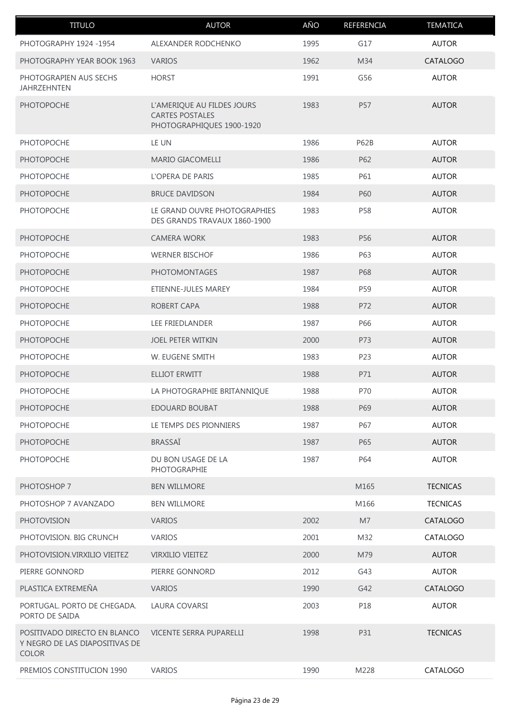| <b>TITULO</b>                                                                  | <b>AUTOR</b>                                                                      | AÑO  | REFERENCIA  | <b>TEMATICA</b> |
|--------------------------------------------------------------------------------|-----------------------------------------------------------------------------------|------|-------------|-----------------|
| PHOTOGRAPHY 1924 -1954                                                         | ALEXANDER RODCHENKO                                                               | 1995 | G17         | <b>AUTOR</b>    |
| PHOTOGRAPHY YEAR BOOK 1963                                                     | <b>VARIOS</b>                                                                     | 1962 | M34         | CATALOGO        |
| PHOTOGRAPIEN AUS SECHS<br><b>JAHRZEHNTEN</b>                                   | <b>HORST</b>                                                                      | 1991 | G56         | <b>AUTOR</b>    |
| <b>PHOTOPOCHE</b>                                                              | L'AMERIQUE AU FILDES JOURS<br><b>CARTES POSTALES</b><br>PHOTOGRAPHIQUES 1900-1920 | 1983 | P57         | <b>AUTOR</b>    |
| PHOTOPOCHE                                                                     | LE UN                                                                             | 1986 | <b>P62B</b> | <b>AUTOR</b>    |
| <b>PHOTOPOCHE</b>                                                              | <b>MARIO GIACOMELLI</b>                                                           | 1986 | P62         | <b>AUTOR</b>    |
| PHOTOPOCHE                                                                     | L'OPERA DE PARIS                                                                  | 1985 | P61         | <b>AUTOR</b>    |
| <b>PHOTOPOCHE</b>                                                              | <b>BRUCE DAVIDSON</b>                                                             | 1984 | P60         | <b>AUTOR</b>    |
| <b>PHOTOPOCHE</b>                                                              | LE GRAND OUVRE PHOTOGRAPHIES<br>DES GRANDS TRAVAUX 1860-1900                      | 1983 | P58         | <b>AUTOR</b>    |
| <b>PHOTOPOCHE</b>                                                              | <b>CAMERA WORK</b>                                                                | 1983 | P56         | <b>AUTOR</b>    |
| PHOTOPOCHE                                                                     | <b>WERNER BISCHOF</b>                                                             | 1986 | P63         | <b>AUTOR</b>    |
| <b>PHOTOPOCHE</b>                                                              | <b>PHOTOMONTAGES</b>                                                              | 1987 | <b>P68</b>  | <b>AUTOR</b>    |
| PHOTOPOCHE                                                                     | ETIENNE-JULES MAREY                                                               | 1984 | P59         | <b>AUTOR</b>    |
| <b>PHOTOPOCHE</b>                                                              | ROBERT CAPA                                                                       | 1988 | P72         | <b>AUTOR</b>    |
| PHOTOPOCHE                                                                     | LEE FRIEDLANDER                                                                   | 1987 | P66         | <b>AUTOR</b>    |
| PHOTOPOCHE                                                                     | <b>JOEL PETER WITKIN</b>                                                          | 2000 | P73         | <b>AUTOR</b>    |
| PHOTOPOCHE                                                                     | W. EUGENE SMITH                                                                   | 1983 | P23         | <b>AUTOR</b>    |
| PHOTOPOCHE                                                                     | <b>ELLIOT ERWITT</b>                                                              | 1988 | P71         | <b>AUTOR</b>    |
| <b>PHOTOPOCHE</b>                                                              | LA PHOTOGRAPHIE BRITANNIQUE                                                       | 1988 | P70         | <b>AUTOR</b>    |
| <b>PHOTOPOCHE</b>                                                              | <b>EDOUARD BOUBAT</b>                                                             | 1988 | P69         | <b>AUTOR</b>    |
| <b>PHOTOPOCHE</b>                                                              | LE TEMPS DES PIONNIERS                                                            | 1987 | P67         | <b>AUTOR</b>    |
| <b>PHOTOPOCHE</b>                                                              | <b>BRASSAÏ</b>                                                                    | 1987 | P65         | <b>AUTOR</b>    |
| <b>PHOTOPOCHE</b>                                                              | DU BON USAGE DE LA<br>PHOTOGRAPHIE                                                | 1987 | P64         | <b>AUTOR</b>    |
| PHOTOSHOP 7                                                                    | <b>BEN WILLMORE</b>                                                               |      | M165        | <b>TECNICAS</b> |
| PHOTOSHOP 7 AVANZADO                                                           | <b>BEN WILLMORE</b>                                                               |      | M166        | <b>TECNICAS</b> |
| <b>PHOTOVISION</b>                                                             | <b>VARIOS</b>                                                                     | 2002 | M7          | CATALOGO        |
| PHOTOVISION. BIG CRUNCH                                                        | <b>VARIOS</b>                                                                     | 2001 | M32         | CATALOGO        |
| PHOTOVISION. VIRXILIO VIEITEZ                                                  | <b>VIRXILIO VIEITEZ</b>                                                           | 2000 | M79         | <b>AUTOR</b>    |
| PIERRE GONNORD                                                                 | PIERRE GONNORD                                                                    | 2012 | G43         | <b>AUTOR</b>    |
| PLASTICA EXTREMEÑA                                                             | <b>VARIOS</b>                                                                     | 1990 | G42         | CATALOGO        |
| PORTUGAL. PORTO DE CHEGADA.<br>PORTO DE SAIDA                                  | LAURA COVARSI                                                                     | 2003 | P18         | <b>AUTOR</b>    |
| POSITIVADO DIRECTO EN BLANCO<br>Y NEGRO DE LAS DIAPOSITIVAS DE<br><b>COLOR</b> | VICENTE SERRA PUPARELLI                                                           | 1998 | <b>P31</b>  | <b>TECNICAS</b> |
| PREMIOS CONSTITUCION 1990                                                      | <b>VARIOS</b>                                                                     | 1990 | M228        | CATALOGO        |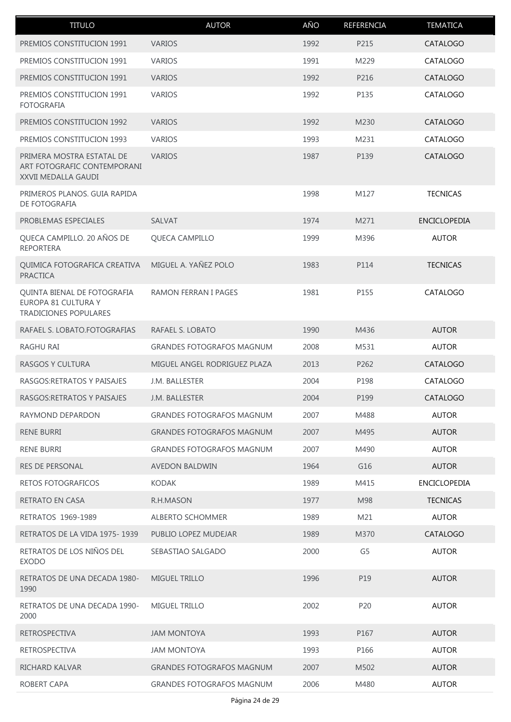| <b>TITULO</b>                                                                   | <b>AUTOR</b>                     | AÑO  | REFERENCIA     | <b>TEMATICA</b>     |
|---------------------------------------------------------------------------------|----------------------------------|------|----------------|---------------------|
| PREMIOS CONSTITUCION 1991                                                       | <b>VARIOS</b>                    | 1992 | P215           | CATALOGO            |
| PREMIOS CONSTITUCION 1991                                                       | <b>VARIOS</b>                    | 1991 | M229           | CATALOGO            |
| PREMIOS CONSTITUCION 1991                                                       | <b>VARIOS</b>                    | 1992 | P216           | CATALOGO            |
| PREMIOS CONSTITUCION 1991<br><b>FOTOGRAFIA</b>                                  | <b>VARIOS</b>                    | 1992 | P135           | CATALOGO            |
| PREMIOS CONSTITUCION 1992                                                       | <b>VARIOS</b>                    | 1992 | M230           | CATALOGO            |
| PREMIOS CONSTITUCION 1993                                                       | <b>VARIOS</b>                    | 1993 | M231           | CATALOGO            |
| PRIMERA MOSTRA ESTATAL DE<br>ART FOTOGRAFIC CONTEMPORANI<br>XXVII MEDALLA GAUDI | <b>VARIOS</b>                    | 1987 | P139           | CATALOGO            |
| PRIMEROS PLANOS. GUIA RAPIDA<br>DE FOTOGRAFIA                                   |                                  | 1998 | M127           | <b>TECNICAS</b>     |
| PROBLEMAS ESPECIALES                                                            | SALVAT                           | 1974 | M271           | <b>ENCICLOPEDIA</b> |
| QUECA CAMPILLO. 20 AÑOS DE<br><b>REPORTERA</b>                                  | QUECA CAMPILLO                   | 1999 | M396           | <b>AUTOR</b>        |
| QUIMICA FOTOGRAFICA CREATIVA<br><b>PRACTICA</b>                                 | MIGUEL A. YAÑEZ POLO             | 1983 | P114           | <b>TECNICAS</b>     |
| QUINTA BIENAL DE FOTOGRAFIA<br>EUROPA 81 CULTURA Y<br>TRADICIONES POPULARES     | <b>RAMON FERRAN I PAGES</b>      | 1981 | P155           | CATALOGO            |
| RAFAEL S. LOBATO.FOTOGRAFIAS                                                    | RAFAEL S. LOBATO                 | 1990 | M436           | <b>AUTOR</b>        |
| RAGHU RAI                                                                       | <b>GRANDES FOTOGRAFOS MAGNUM</b> | 2008 | M531           | <b>AUTOR</b>        |
| RASGOS Y CULTURA                                                                | MIGUEL ANGEL RODRIGUEZ PLAZA     | 2013 | P262           | <b>CATALOGO</b>     |
| RASGOS: RETRATOS Y PAISAJES                                                     | J.M. BALLESTER                   | 2004 | P198           | CATALOGO            |
| RASGOS: RETRATOS Y PAISAJES                                                     | J.M. BALLESTER                   | 2004 | P199           | <b>CATALOGO</b>     |
| RAYMOND DEPARDON                                                                | <b>GRANDES FOTOGRAFOS MAGNUM</b> | 2007 | M488           | <b>AUTOR</b>        |
| <b>RENE BURRI</b>                                                               | <b>GRANDES FOTOGRAFOS MAGNUM</b> | 2007 | M495           | <b>AUTOR</b>        |
| <b>RENE BURRI</b>                                                               | <b>GRANDES FOTOGRAFOS MAGNUM</b> | 2007 | M490           | <b>AUTOR</b>        |
| <b>RES DE PERSONAL</b>                                                          | <b>AVEDON BALDWIN</b>            | 1964 | G16            | <b>AUTOR</b>        |
| RETOS FOTOGRAFICOS                                                              | <b>KODAK</b>                     | 1989 | M415           | <b>ENCICLOPEDIA</b> |
| <b>RETRATO EN CASA</b>                                                          | <b>R.H.MASON</b>                 | 1977 | M98            | <b>TECNICAS</b>     |
| RETRATOS 1969-1989                                                              | ALBERTO SCHOMMER                 | 1989 | M21            | <b>AUTOR</b>        |
| RETRATOS DE LA VIDA 1975-1939                                                   | PUBLIO LOPEZ MUDEJAR             | 1989 | M370           | CATALOGO            |
| RETRATOS DE LOS NIÑOS DEL<br><b>EXODO</b>                                       | SEBASTIAO SALGADO                | 2000 | G <sub>5</sub> | <b>AUTOR</b>        |
| RETRATOS DE UNA DECADA 1980-<br>1990                                            | MIGUEL TRILLO                    | 1996 | P19            | <b>AUTOR</b>        |
| RETRATOS DE UNA DECADA 1990-<br>2000                                            | MIGUEL TRILLO                    | 2002 | P20            | <b>AUTOR</b>        |
| <b>RETROSPECTIVA</b>                                                            | <b>JAM MONTOYA</b>               | 1993 | P167           | <b>AUTOR</b>        |
| <b>RETROSPECTIVA</b>                                                            | <b>JAM MONTOYA</b>               | 1993 | P166           | <b>AUTOR</b>        |
| RICHARD KALVAR                                                                  | <b>GRANDES FOTOGRAFOS MAGNUM</b> | 2007 | M502           | <b>AUTOR</b>        |
| ROBERT CAPA                                                                     | <b>GRANDES FOTOGRAFOS MAGNUM</b> | 2006 | M480           | <b>AUTOR</b>        |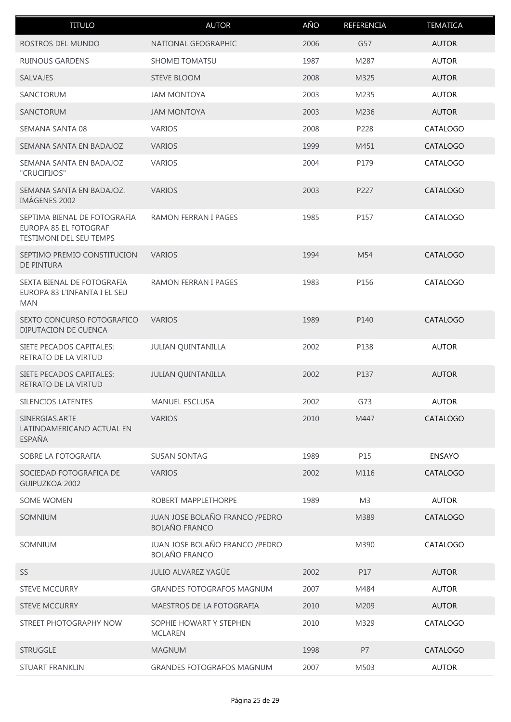| <b>TITULO</b>                                                                    | <b>AUTOR</b>                                            | AÑO  | REFERENCIA     | <b>TEMATICA</b> |
|----------------------------------------------------------------------------------|---------------------------------------------------------|------|----------------|-----------------|
| ROSTROS DEL MUNDO                                                                | NATIONAL GEOGRAPHIC                                     | 2006 | G57            | <b>AUTOR</b>    |
| <b>RUINOUS GARDENS</b>                                                           | SHOMEI TOMATSU                                          | 1987 | M287           | <b>AUTOR</b>    |
| SALVAJES                                                                         | <b>STEVE BLOOM</b>                                      | 2008 | M325           | <b>AUTOR</b>    |
| SANCTORUM                                                                        | <b>JAM MONTOYA</b>                                      | 2003 | M235           | <b>AUTOR</b>    |
| SANCTORUM                                                                        | <b>JAM MONTOYA</b>                                      | 2003 | M236           | <b>AUTOR</b>    |
| SEMANA SANTA 08                                                                  | <b>VARIOS</b>                                           | 2008 | P228           | CATALOGO        |
| SEMANA SANTA EN BADAJOZ                                                          | <b>VARIOS</b>                                           | 1999 | M451           | CATALOGO        |
| SEMANA SANTA EN BADAJOZ<br>"CRUCIFIJOS"                                          | <b>VARIOS</b>                                           | 2004 | P179           | CATALOGO        |
| SEMANA SANTA EN BADAJOZ.<br>IMÁGENES 2002                                        | <b>VARIOS</b>                                           | 2003 | P227           | CATALOGO        |
| SEPTIMA BIENAL DE FOTOGRAFIA<br>EUROPA 85 EL FOTOGRAF<br>TESTIMONI DEL SEU TEMPS | RAMON FERRAN I PAGES                                    | 1985 | P157           | CATALOGO        |
| SEPTIMO PREMIO CONSTITUCION<br>DE PINTURA                                        | <b>VARIOS</b>                                           | 1994 | M54            | CATALOGO        |
| SEXTA BIENAL DE FOTOGRAFIA<br>EUROPA 83 L'INFANTA I EL SEU<br><b>MAN</b>         | <b>RAMON FERRAN I PAGES</b>                             | 1983 | P156           | CATALOGO        |
| SEXTO CONCURSO FOTOGRAFICO<br>DIPUTACION DE CUENCA                               | <b>VARIOS</b>                                           | 1989 | P140           | CATALOGO        |
| SIETE PECADOS CAPITALES:<br>RETRATO DE LA VIRTUD                                 | <b>JULIAN QUINTANILLA</b>                               | 2002 | P138           | <b>AUTOR</b>    |
| SIETE PECADOS CAPITALES:<br>RETRATO DE LA VIRTUD                                 | <b>JULIAN QUINTANILLA</b>                               | 2002 | P137           | <b>AUTOR</b>    |
| SILENCIOS LATENTES                                                               | MANUEL ESCLUSA                                          | 2002 | G73            | <b>AUTOR</b>    |
| SINERGIAS.ARTE<br>LATINOAMERICANO ACTUAL EN<br><b>ESPAÑA</b>                     | <b>VARIOS</b>                                           | 2010 | M447           | <b>CATALOGO</b> |
| SOBRE LA FOTOGRAFIA                                                              | <b>SUSAN SONTAG</b>                                     | 1989 | P15            | <b>ENSAYO</b>   |
| SOCIEDAD FOTOGRAFICA DE<br>GUIPUZKOA 2002                                        | <b>VARIOS</b>                                           | 2002 | M116           | CATALOGO        |
| SOME WOMEN                                                                       | ROBERT MAPPLETHORPE                                     | 1989 | M <sub>3</sub> | <b>AUTOR</b>    |
| SOMNIUM                                                                          | JUAN JOSE BOLAÑO FRANCO / PEDRO<br><b>BOLAÑO FRANCO</b> |      | M389           | <b>CATALOGO</b> |
| SOMNIUM                                                                          | JUAN JOSE BOLAÑO FRANCO / PEDRO<br><b>BOLAÑO FRANCO</b> |      | M390           | CATALOGO        |
| SS                                                                               | <b>JULIO ALVAREZ YAGÜE</b>                              | 2002 | P17            | <b>AUTOR</b>    |
| <b>STEVE MCCURRY</b>                                                             | <b>GRANDES FOTOGRAFOS MAGNUM</b>                        | 2007 | M484           | <b>AUTOR</b>    |
| <b>STEVE MCCURRY</b>                                                             | MAESTROS DE LA FOTOGRAFIA                               | 2010 | M209           | <b>AUTOR</b>    |
| STREET PHOTOGRAPHY NOW                                                           | SOPHIE HOWART Y STEPHEN<br><b>MCLAREN</b>               | 2010 | M329           | CATALOGO        |
| <b>STRUGGLE</b>                                                                  | <b>MAGNUM</b>                                           | 1998 | <b>P7</b>      | CATALOGO        |
| STUART FRANKLIN                                                                  | <b>GRANDES FOTOGRAFOS MAGNUM</b>                        | 2007 | M503           | <b>AUTOR</b>    |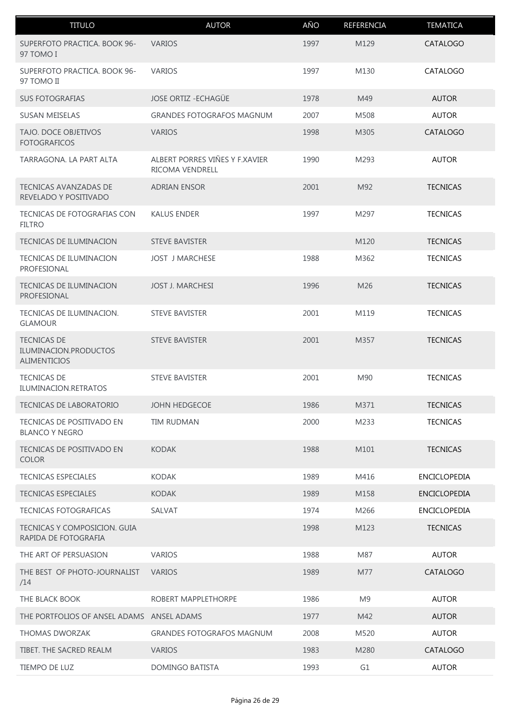| <b>TITULO</b>                                                      | <b>AUTOR</b>                                             | AÑO  | REFERENCIA     | <b>TEMATICA</b>     |
|--------------------------------------------------------------------|----------------------------------------------------------|------|----------------|---------------------|
| SUPERFOTO PRACTICA. BOOK 96-<br>97 TOMO I                          | <b>VARIOS</b>                                            | 1997 | M129           | <b>CATALOGO</b>     |
| SUPERFOTO PRACTICA, BOOK 96-<br>97 TOMO II                         | <b>VARIOS</b>                                            | 1997 | M130           | CATALOGO            |
| <b>SUS FOTOGRAFIAS</b>                                             | <b>JOSE ORTIZ - ECHAGÜE</b>                              | 1978 | M49            | <b>AUTOR</b>        |
| <b>SUSAN MEISELAS</b>                                              | <b>GRANDES FOTOGRAFOS MAGNUM</b>                         | 2007 | M508           | <b>AUTOR</b>        |
| TAJO. DOCE OBJETIVOS<br><b>FOTOGRAFICOS</b>                        | <b>VARIOS</b>                                            | 1998 | M305           | <b>CATALOGO</b>     |
| TARRAGONA. LA PART ALTA                                            | ALBERT PORRES VIÑES Y F.XAVIER<br><b>RICOMA VENDRELL</b> | 1990 | M293           | <b>AUTOR</b>        |
| <b>TECNICAS AVANZADAS DE</b><br>REVELADO Y POSITIVADO              | <b>ADRIAN ENSOR</b>                                      | 2001 | M92            | <b>TECNICAS</b>     |
| TECNICAS DE FOTOGRAFIAS CON<br><b>FILTRO</b>                       | <b>KALUS ENDER</b>                                       | 1997 | M297           | <b>TECNICAS</b>     |
| <b>TECNICAS DE ILUMINACION</b>                                     | <b>STEVE BAVISTER</b>                                    |      | M120           | <b>TECNICAS</b>     |
| TECNICAS DE ILUMINACION<br>PROFESIONAL                             | <b>JOST J MARCHESE</b>                                   | 1988 | M362           | <b>TECNICAS</b>     |
| <b>TECNICAS DE ILUMINACION</b><br>PROFESIONAL                      | <b>JOST J. MARCHESI</b>                                  | 1996 | M26            | <b>TECNICAS</b>     |
| TECNICAS DE ILUMINACION.<br><b>GLAMOUR</b>                         | <b>STEVE BAVISTER</b>                                    | 2001 | M119           | <b>TECNICAS</b>     |
| <b>TECNICAS DE</b><br>ILUMINACION.PRODUCTOS<br><b>ALIMENTICIOS</b> | <b>STEVE BAVISTER</b>                                    | 2001 | M357           | <b>TECNICAS</b>     |
| <b>TECNICAS DE</b><br>ILUMINACION.RETRATOS                         | <b>STEVE BAVISTER</b>                                    | 2001 | M90            | <b>TECNICAS</b>     |
| <b>TECNICAS DE LABORATORIO</b>                                     | <b>JOHN HEDGECOE</b>                                     | 1986 | M371           | <b>TECNICAS</b>     |
| TECNICAS DE POSITIVADO EN<br><b>BLANCO Y NEGRO</b>                 | <b>TIM RUDMAN</b>                                        | 2000 | M233           | <b>TECNICAS</b>     |
| TECNICAS DE POSITIVADO EN<br><b>COLOR</b>                          | <b>KODAK</b>                                             | 1988 | M101           | <b>TECNICAS</b>     |
| <b>TECNICAS ESPECIALES</b>                                         | <b>KODAK</b>                                             | 1989 | M416           | ENCICLOPEDIA        |
| <b>TECNICAS ESPECIALES</b>                                         | <b>KODAK</b>                                             | 1989 | M158           | <b>ENCICLOPEDIA</b> |
| <b>TECNICAS FOTOGRAFICAS</b>                                       | <b>SALVAT</b>                                            | 1974 | M266           | ENCICLOPEDIA        |
| TECNICAS Y COMPOSICION, GUIA<br>RAPIDA DE FOTOGRAFIA               |                                                          | 1998 | M123           | <b>TECNICAS</b>     |
| THE ART OF PERSUASION                                              | <b>VARIOS</b>                                            | 1988 | M87            | <b>AUTOR</b>        |
| THE BEST OF PHOTO-JOURNALIST<br>/14                                | <b>VARIOS</b>                                            | 1989 | M77            | CATALOGO            |
| THE BLACK BOOK                                                     | ROBERT MAPPLETHORPE                                      | 1986 | M <sub>9</sub> | <b>AUTOR</b>        |
| THE PORTFOLIOS OF ANSEL ADAMS ANSEL ADAMS                          |                                                          | 1977 | M42            | <b>AUTOR</b>        |
| <b>THOMAS DWORZAK</b>                                              | <b>GRANDES FOTOGRAFOS MAGNUM</b>                         | 2008 | M520           | <b>AUTOR</b>        |
| TIBET. THE SACRED REALM                                            | <b>VARIOS</b>                                            | 1983 | M280           | CATALOGO            |
| TIEMPO DE LUZ                                                      | DOMINGO BATISTA                                          | 1993 | G1             | <b>AUTOR</b>        |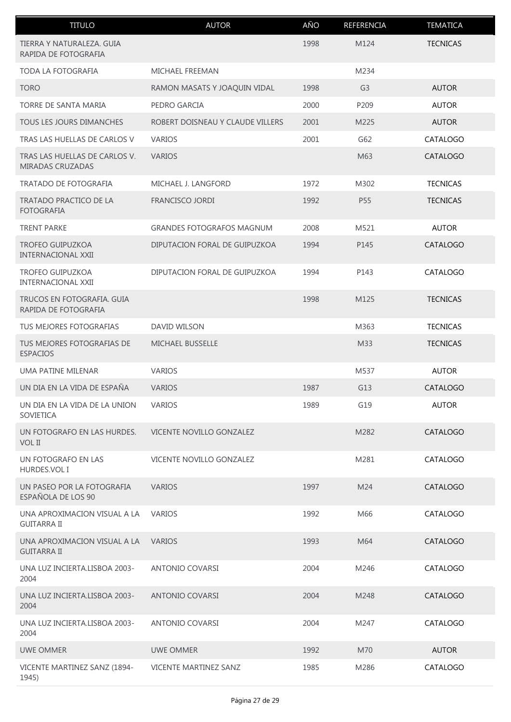| <b>TITULO</b>                                        | <b>AUTOR</b>                     | AÑO  | REFERENCIA     | <b>TEMATICA</b> |
|------------------------------------------------------|----------------------------------|------|----------------|-----------------|
| TIERRA Y NATURALEZA. GUIA<br>RAPIDA DE FOTOGRAFIA    |                                  | 1998 | M124           | <b>TECNICAS</b> |
| TODA LA FOTOGRAFIA                                   | MICHAEL FREEMAN                  |      | M234           |                 |
| <b>TORO</b>                                          | RAMON MASATS Y JOAQUIN VIDAL     | 1998 | G <sub>3</sub> | <b>AUTOR</b>    |
| TORRE DE SANTA MARIA                                 | PEDRO GARCIA                     | 2000 | P209           | <b>AUTOR</b>    |
| TOUS LES JOURS DIMANCHES                             | ROBERT DOISNEAU Y CLAUDE VILLERS | 2001 | M225           | <b>AUTOR</b>    |
| TRAS LAS HUELLAS DE CARLOS V                         | <b>VARIOS</b>                    | 2001 | G62            | CATALOGO        |
| TRAS LAS HUELLAS DE CARLOS V.<br>MIRADAS CRUZADAS    | <b>VARIOS</b>                    |      | M63            | <b>CATALOGO</b> |
| TRATADO DE FOTOGRAFIA                                | MICHAEL J. LANGFORD              | 1972 | M302           | <b>TECNICAS</b> |
| TRATADO PRACTICO DE LA<br><b>FOTOGRAFIA</b>          | FRANCISCO JORDI                  | 1992 | P55            | <b>TECNICAS</b> |
| <b>TRENT PARKE</b>                                   | <b>GRANDES FOTOGRAFOS MAGNUM</b> | 2008 | M521           | <b>AUTOR</b>    |
| <b>TROFEO GUIPUZKOA</b><br><b>INTERNACIONAL XXII</b> | DIPUTACION FORAL DE GUIPUZKOA    | 1994 | P145           | <b>CATALOGO</b> |
| <b>TROFEO GUIPUZKOA</b><br><b>INTERNACIONAL XXII</b> | DIPUTACION FORAL DE GUIPUZKOA    | 1994 | P143           | CATALOGO        |
| TRUCOS EN FOTOGRAFIA. GUIA<br>RAPIDA DE FOTOGRAFIA   |                                  | 1998 | M125           | <b>TECNICAS</b> |
| TUS MEJORES FOTOGRAFIAS                              | DAVID WILSON                     |      | M363           | <b>TECNICAS</b> |
| TUS MEJORES FOTOGRAFIAS DE<br><b>ESPACIOS</b>        | MICHAEL BUSSELLE                 |      | M33            | <b>TECNICAS</b> |
| UMA PATINE MILENAR                                   | <b>VARIOS</b>                    |      | M537           | <b>AUTOR</b>    |
| UN DIA EN LA VIDA DE ESPAÑA                          | <b>VARIOS</b>                    | 1987 | G13            | CATALOGO        |
| UN DIA EN LA VIDA DE LA UNION<br>SOVIETICA           | <b>VARIOS</b>                    | 1989 | G19            | <b>AUTOR</b>    |
| UN FOTOGRAFO EN LAS HURDES.<br>VOL II                | VICENTE NOVILLO GONZALEZ         |      | M282           | CATALOGO        |
| UN FOTOGRAFO EN LAS<br>HURDES.VOL I                  | VICENTE NOVILLO GONZALEZ         |      | M281           | CATALOGO        |
| UN PASEO POR LA FOTOGRAFIA<br>ESPAÑOLA DE LOS 90     | <b>VARIOS</b>                    | 1997 | M24            | <b>CATALOGO</b> |
| UNA APROXIMACION VISUAL A LA<br><b>GUITARRA II</b>   | <b>VARIOS</b>                    | 1992 | M66            | CATALOGO        |
| UNA APROXIMACION VISUAL A LA<br><b>GUITARRA II</b>   | <b>VARIOS</b>                    | 1993 | M64            | <b>CATALOGO</b> |
| UNA LUZ INCIERTA.LISBOA 2003-<br>2004                | <b>ANTONIO COVARSI</b>           | 2004 | M246           | CATALOGO        |
| UNA LUZ INCIERTA.LISBOA 2003-<br>2004                | <b>ANTONIO COVARSI</b>           | 2004 | M248           | CATALOGO        |
| UNA LUZ INCIERTA.LISBOA 2003-<br>2004                | <b>ANTONIO COVARSI</b>           | 2004 | M247           | CATALOGO        |
| <b>UWE OMMER</b>                                     | UWE OMMER                        | 1992 | M70            | <b>AUTOR</b>    |
| VICENTE MARTINEZ SANZ (1894-<br>1945)                | <b>VICENTE MARTINEZ SANZ</b>     | 1985 | M286           | CATALOGO        |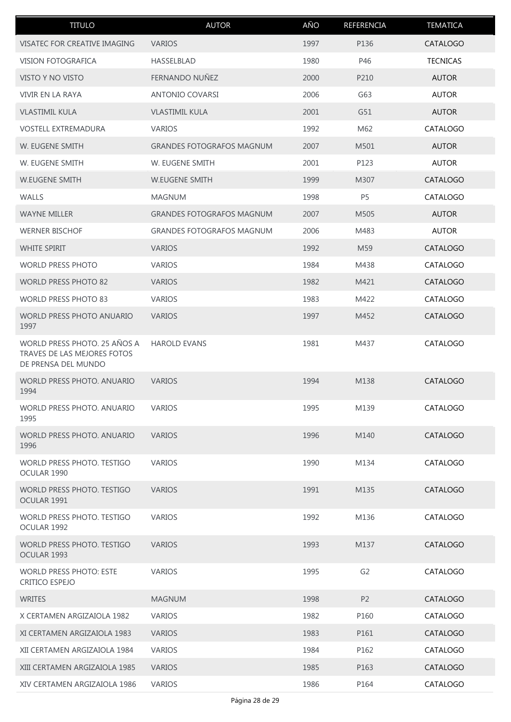| <b>TITULO</b>                                                                      | <b>AUTOR</b>                     | AÑO  | REFERENCIA     | <b>TEMATICA</b> |
|------------------------------------------------------------------------------------|----------------------------------|------|----------------|-----------------|
| VISATEC FOR CREATIVE IMAGING                                                       | <b>VARIOS</b>                    | 1997 | P136           | CATALOGO        |
| <b>VISION FOTOGRAFICA</b>                                                          | HASSELBLAD                       | 1980 | P46            | <b>TECNICAS</b> |
| VISTO Y NO VISTO                                                                   | FERNANDO NUÑEZ                   | 2000 | P210           | <b>AUTOR</b>    |
| VIVIR EN LA RAYA                                                                   | ANTONIO COVARSI                  | 2006 | G63            | <b>AUTOR</b>    |
| <b>VLASTIMIL KULA</b>                                                              | <b>VLASTIMIL KULA</b>            | 2001 | G51            | <b>AUTOR</b>    |
| <b>VOSTELL EXTREMADURA</b>                                                         | <b>VARIOS</b>                    | 1992 | M62            | CATALOGO        |
| W. EUGENE SMITH                                                                    | <b>GRANDES FOTOGRAFOS MAGNUM</b> | 2007 | M501           | <b>AUTOR</b>    |
| W. EUGENE SMITH                                                                    | W. EUGENE SMITH                  | 2001 | P123           | <b>AUTOR</b>    |
| W.EUGENE SMITH                                                                     | <b>W.EUGENE SMITH</b>            | 1999 | M307           | <b>CATALOGO</b> |
| <b>WALLS</b>                                                                       | <b>MAGNUM</b>                    | 1998 | P <sub>5</sub> | CATALOGO        |
| <b>WAYNE MILLER</b>                                                                | <b>GRANDES FOTOGRAFOS MAGNUM</b> | 2007 | M505           | <b>AUTOR</b>    |
| <b>WERNER BISCHOF</b>                                                              | <b>GRANDES FOTOGRAFOS MAGNUM</b> | 2006 | M483           | <b>AUTOR</b>    |
| <b>WHITE SPIRIT</b>                                                                | <b>VARIOS</b>                    | 1992 | M59            | CATALOGO        |
| <b>WORLD PRESS PHOTO</b>                                                           | <b>VARIOS</b>                    | 1984 | M438           | CATALOGO        |
| <b>WORLD PRESS PHOTO 82</b>                                                        | <b>VARIOS</b>                    | 1982 | M421           | CATALOGO        |
| WORLD PRESS PHOTO 83                                                               | <b>VARIOS</b>                    | 1983 | M422           | CATALOGO        |
| <b>WORLD PRESS PHOTO ANUARIO</b><br>1997                                           | <b>VARIOS</b>                    | 1997 | M452           | CATALOGO        |
| WORLD PRESS PHOTO. 25 AÑOS A<br>TRAVES DE LAS MEJORES FOTOS<br>DE PRENSA DEL MUNDO | <b>HAROLD EVANS</b>              | 1981 | M437           | CATALOGO        |
| WORLD PRESS PHOTO. ANUARIO<br>1994                                                 | <b>VARIOS</b>                    | 1994 | M138           | CATALOGO        |
| <b>WORLD PRESS PHOTO, ANUARIO</b><br>1995                                          | <b>VARIOS</b>                    | 1995 | M139           | CATALOGO        |
| WORLD PRESS PHOTO, ANUARIO<br>1996                                                 | <b>VARIOS</b>                    | 1996 | M140           | <b>CATALOGO</b> |
| WORLD PRESS PHOTO. TESTIGO<br>OCULAR 1990                                          | <b>VARIOS</b>                    | 1990 | M134           | CATALOGO        |
| WORLD PRESS PHOTO. TESTIGO<br>OCULAR 1991                                          | <b>VARIOS</b>                    | 1991 | M135           | <b>CATALOGO</b> |
| WORLD PRESS PHOTO. TESTIGO<br>OCULAR 1992                                          | <b>VARIOS</b>                    | 1992 | M136           | CATALOGO        |
| WORLD PRESS PHOTO. TESTIGO<br>OCULAR 1993                                          | <b>VARIOS</b>                    | 1993 | M137           | <b>CATALOGO</b> |
| <b>WORLD PRESS PHOTO: ESTE</b><br>CRITICO ESPEJO                                   | <b>VARIOS</b>                    | 1995 | G <sub>2</sub> | CATALOGO        |
| WRITES                                                                             | <b>MAGNUM</b>                    | 1998 | P <sub>2</sub> | <b>CATALOGO</b> |
| X CERTAMEN ARGIZAIOLA 1982                                                         | <b>VARIOS</b>                    | 1982 | P160           | CATALOGO        |
| XI CERTAMEN ARGIZAIOLA 1983                                                        | <b>VARIOS</b>                    | 1983 | P161           | <b>CATALOGO</b> |
| XII CERTAMEN ARGIZAIOLA 1984                                                       | <b>VARIOS</b>                    | 1984 | P162           | CATALOGO        |
| XIII CERTAMEN ARGIZAIOLA 1985                                                      | <b>VARIOS</b>                    | 1985 | P163           | CATALOGO        |
| XIV CERTAMEN ARGIZAIOLA 1986                                                       | <b>VARIOS</b>                    | 1986 | P164           | CATALOGO        |